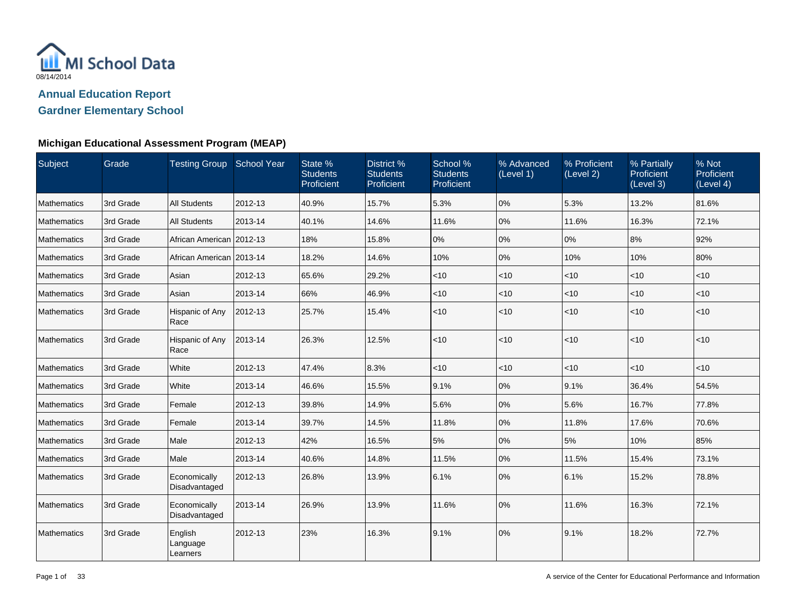

| Subject            | Grade     | Testing Group School Year       |         | State %<br><b>Students</b><br>Proficient | District %<br><b>Students</b><br>Proficient | School %<br><b>Students</b><br>Proficient | % Advanced<br>(Level 1) | % Proficient<br>(Level 2) | % Partially<br>Proficient<br>(Level 3) | % Not<br>Proficient<br>(Level 4) |
|--------------------|-----------|---------------------------------|---------|------------------------------------------|---------------------------------------------|-------------------------------------------|-------------------------|---------------------------|----------------------------------------|----------------------------------|
| Mathematics        | 3rd Grade | <b>All Students</b>             | 2012-13 | 40.9%                                    | 15.7%                                       | 5.3%                                      | 0%                      | 5.3%                      | 13.2%                                  | 81.6%                            |
| Mathematics        | 3rd Grade | <b>All Students</b>             | 2013-14 | 40.1%                                    | 14.6%                                       | 11.6%                                     | 0%                      | 11.6%                     | 16.3%                                  | 72.1%                            |
| Mathematics        | 3rd Grade | African American 2012-13        |         | 18%                                      | 15.8%                                       | 0%                                        | 0%                      | 0%                        | 8%                                     | 92%                              |
| Mathematics        | 3rd Grade | African American 2013-14        |         | 18.2%                                    | 14.6%                                       | 10%                                       | 0%                      | 10%                       | 10%                                    | 80%                              |
| Mathematics        | 3rd Grade | Asian                           | 2012-13 | 65.6%                                    | 29.2%                                       | $<$ 10                                    | $<$ 10                  | $<$ 10                    | $<$ 10                                 | $<$ 10                           |
| Mathematics        | 3rd Grade | Asian                           | 2013-14 | 66%                                      | 46.9%                                       | $<10$                                     | < 10                    | < 10                      | $<$ 10                                 | < 10                             |
| Mathematics        | 3rd Grade | Hispanic of Any<br>Race         | 2012-13 | 25.7%                                    | 15.4%                                       | < 10                                      | < 10                    | $ $ < 10                  | $<$ 10                                 | < 10                             |
| Mathematics        | 3rd Grade | Hispanic of Any<br>Race         | 2013-14 | 26.3%                                    | 12.5%                                       | < 10                                      | < 10                    | $ $ < 10                  | < 10                                   | $<$ 10                           |
| Mathematics        | 3rd Grade | White                           | 2012-13 | 47.4%                                    | 8.3%                                        | $<$ 10                                    | $<$ 10                  | $<$ 10                    | $<$ 10                                 | $<$ 10                           |
| Mathematics        | 3rd Grade | White                           | 2013-14 | 46.6%                                    | 15.5%                                       | 9.1%                                      | 0%                      | 9.1%                      | 36.4%                                  | 54.5%                            |
| Mathematics        | 3rd Grade | Female                          | 2012-13 | 39.8%                                    | 14.9%                                       | 5.6%                                      | 0%                      | 5.6%                      | 16.7%                                  | 77.8%                            |
| <b>Mathematics</b> | 3rd Grade | Female                          | 2013-14 | 39.7%                                    | 14.5%                                       | 11.8%                                     | 0%                      | 11.8%                     | 17.6%                                  | 70.6%                            |
| Mathematics        | 3rd Grade | Male                            | 2012-13 | 42%                                      | 16.5%                                       | 5%                                        | 0%                      | 5%                        | 10%                                    | 85%                              |
| Mathematics        | 3rd Grade | Male                            | 2013-14 | 40.6%                                    | 14.8%                                       | 11.5%                                     | 0%                      | 11.5%                     | 15.4%                                  | 73.1%                            |
| Mathematics        | 3rd Grade | Economically<br>Disadvantaged   | 2012-13 | 26.8%                                    | 13.9%                                       | 6.1%                                      | 0%                      | 6.1%                      | 15.2%                                  | 78.8%                            |
| Mathematics        | 3rd Grade | Economically<br>Disadvantaged   | 2013-14 | 26.9%                                    | 13.9%                                       | 11.6%                                     | 0%                      | 11.6%                     | 16.3%                                  | 72.1%                            |
| Mathematics        | 3rd Grade | English<br>Language<br>Learners | 2012-13 | 23%                                      | 16.3%                                       | 9.1%                                      | 0%                      | 9.1%                      | 18.2%                                  | 72.7%                            |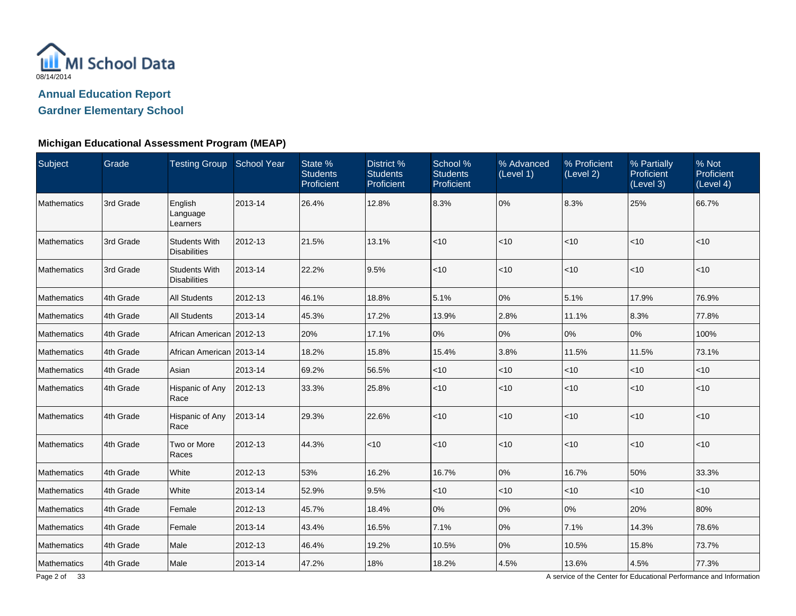

## **Michigan Educational Assessment Program (MEAP)**

| Subject            | Grade     | Testing Group School Year                   |         | State %<br><b>Students</b><br>Proficient | District %<br><b>Students</b><br>Proficient | School %<br><b>Students</b><br>Proficient | % Advanced<br>(Level 1) | % Proficient<br>(Level 2) | % Partially<br><b>Proficient</b><br>(Level 3) | % Not<br>Proficient<br>(Level 4) |
|--------------------|-----------|---------------------------------------------|---------|------------------------------------------|---------------------------------------------|-------------------------------------------|-------------------------|---------------------------|-----------------------------------------------|----------------------------------|
| Mathematics        | 3rd Grade | English<br>Language<br>Learners             | 2013-14 | 26.4%                                    | 12.8%                                       | 8.3%                                      | 0%                      | 8.3%                      | 25%                                           | 66.7%                            |
| <b>Mathematics</b> | 3rd Grade | <b>Students With</b><br><b>Disabilities</b> | 2012-13 | 21.5%                                    | 13.1%                                       | < 10                                      | < 10                    | < 10                      | $<$ 10                                        | $<$ 10                           |
| Mathematics        | 3rd Grade | <b>Students With</b><br><b>Disabilities</b> | 2013-14 | 22.2%                                    | 9.5%                                        | $<10$                                     | < 10                    | $ $ < 10                  | < 10                                          | < 10                             |
| Mathematics        | 4th Grade | <b>All Students</b>                         | 2012-13 | 46.1%                                    | 18.8%                                       | 5.1%                                      | 0%                      | 5.1%                      | 17.9%                                         | 76.9%                            |
| <b>Mathematics</b> | 4th Grade | <b>All Students</b>                         | 2013-14 | 45.3%                                    | 17.2%                                       | 13.9%                                     | 2.8%                    | 11.1%                     | 8.3%                                          | 77.8%                            |
| Mathematics        | 4th Grade | African American 2012-13                    |         | 20%                                      | 17.1%                                       | 0%                                        | 0%                      | 0%                        | 0%                                            | 100%                             |
| Mathematics        | 4th Grade | African American 2013-14                    |         | 18.2%                                    | 15.8%                                       | 15.4%                                     | 3.8%                    | 11.5%                     | 11.5%                                         | 73.1%                            |
| <b>Mathematics</b> | 4th Grade | Asian                                       | 2013-14 | 69.2%                                    | 56.5%                                       | $<10$                                     | <10                     | $<$ 10                    | $<$ 10                                        | $<$ 10                           |
| <b>Mathematics</b> | 4th Grade | Hispanic of Any<br>Race                     | 2012-13 | 33.3%                                    | 25.8%                                       | $<$ 10                                    | $<$ 10                  | < 10                      | $<$ 10                                        | $<$ 10                           |
| Mathematics        | 4th Grade | Hispanic of Any<br>Race                     | 2013-14 | 29.3%                                    | 22.6%                                       | $<10$                                     | < 10                    | < 10                      | < 10                                          | < 10                             |
| Mathematics        | 4th Grade | Two or More<br>Races                        | 2012-13 | 44.3%                                    | < 10                                        | $<$ 10                                    | $<$ 10                  | $ $ < 10                  | $<$ 10                                        | $<$ 10                           |
| Mathematics        | 4th Grade | White                                       | 2012-13 | 53%                                      | 16.2%                                       | 16.7%                                     | 0%                      | 16.7%                     | 50%                                           | 33.3%                            |
| Mathematics        | 4th Grade | White                                       | 2013-14 | 52.9%                                    | 9.5%                                        | $<$ 10                                    | $<$ 10                  | $<$ 10                    | $<$ 10                                        | $<$ 10                           |
| Mathematics        | 4th Grade | Female                                      | 2012-13 | 45.7%                                    | 18.4%                                       | 0%                                        | 0%                      | 0%                        | 20%                                           | 80%                              |
| Mathematics        | 4th Grade | Female                                      | 2013-14 | 43.4%                                    | 16.5%                                       | 7.1%                                      | 0%                      | 7.1%                      | 14.3%                                         | 78.6%                            |
| Mathematics        | 4th Grade | Male                                        | 2012-13 | 46.4%                                    | 19.2%                                       | 10.5%                                     | 0%                      | 10.5%                     | 15.8%                                         | 73.7%                            |
| Mathematics        | 4th Grade | Male                                        | 2013-14 | 47.2%                                    | 18%                                         | 18.2%                                     | 4.5%                    | 13.6%                     | 4.5%                                          | 77.3%                            |

A service of the Center for Educational Performance and Information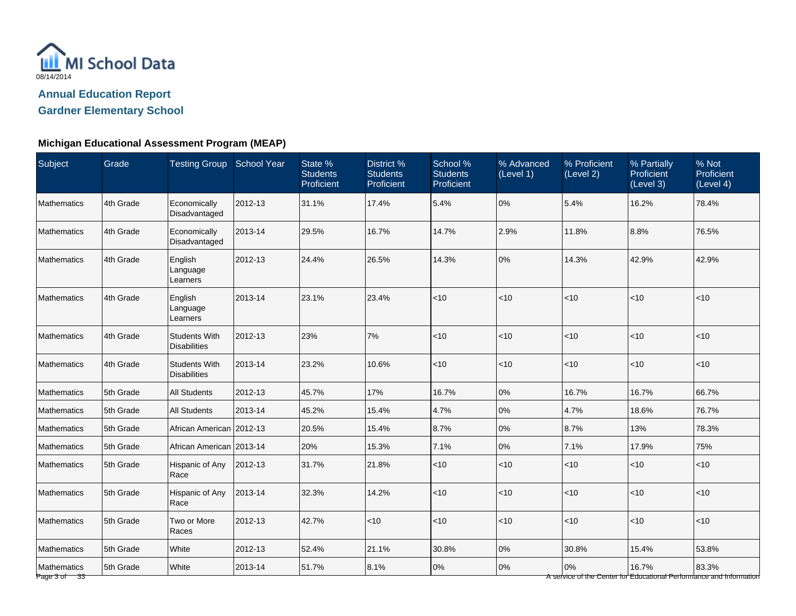

## **Michigan Educational Assessment Program (MEAP)**

| Subject                       | Grade     | Testing Group School Year                   |         | State %<br><b>Students</b><br>Proficient | District %<br><b>Students</b><br>Proficient | School %<br><b>Students</b><br>Proficient | % Advanced<br>(Level 1) | % Proficient<br>(Level 2) | % Partially<br>Proficient<br>(Level 3) | % Not<br>Proficient<br>(Level 4)                                             |
|-------------------------------|-----------|---------------------------------------------|---------|------------------------------------------|---------------------------------------------|-------------------------------------------|-------------------------|---------------------------|----------------------------------------|------------------------------------------------------------------------------|
| Mathematics                   | 4th Grade | Economically<br>Disadvantaged               | 2012-13 | 31.1%                                    | 17.4%                                       | 5.4%                                      | 0%                      | 5.4%                      | 16.2%                                  | 78.4%                                                                        |
| Mathematics                   | 4th Grade | Economically<br>Disadvantaged               | 2013-14 | 29.5%                                    | 16.7%                                       | 14.7%                                     | 2.9%                    | 11.8%                     | 8.8%                                   | 76.5%                                                                        |
| Mathematics                   | 4th Grade | English<br>Language<br>Learners             | 2012-13 | 24.4%                                    | 26.5%                                       | 14.3%                                     | 0%                      | 14.3%                     | 42.9%                                  | 42.9%                                                                        |
| Mathematics                   | 4th Grade | English<br>Language<br>Learners             | 2013-14 | 23.1%                                    | 23.4%                                       | $ $ < 10                                  | $<$ 10                  | < 10                      | $<10$                                  | < 10                                                                         |
| <b>Mathematics</b>            | 4th Grade | <b>Students With</b><br><b>Disabilities</b> | 2012-13 | 23%                                      | 7%                                          | $ $ < 10                                  | $<$ 10                  | < 10                      | < 10                                   | $ $ < 10                                                                     |
| <b>Mathematics</b>            | 4th Grade | <b>Students With</b><br><b>Disabilities</b> | 2013-14 | 23.2%                                    | 10.6%                                       | $ $ < 10                                  | <10                     | <10                       | <10                                    | < 10                                                                         |
| Mathematics                   | 5th Grade | <b>All Students</b>                         | 2012-13 | 45.7%                                    | 17%                                         | 16.7%                                     | 0%                      | 16.7%                     | 16.7%                                  | 66.7%                                                                        |
| Mathematics                   | 5th Grade | <b>All Students</b>                         | 2013-14 | 45.2%                                    | 15.4%                                       | 4.7%                                      | 0%                      | 4.7%                      | 18.6%                                  | 76.7%                                                                        |
| <b>Mathematics</b>            | 5th Grade | African American 2012-13                    |         | 20.5%                                    | 15.4%                                       | 8.7%                                      | 0%                      | 8.7%                      | 13%                                    | 78.3%                                                                        |
| Mathematics                   | 5th Grade | African American 2013-14                    |         | 20%                                      | 15.3%                                       | 7.1%                                      | 0%                      | 7.1%                      | 17.9%                                  | 75%                                                                          |
| Mathematics                   | 5th Grade | Hispanic of Any<br>Race                     | 2012-13 | 31.7%                                    | 21.8%                                       | $ $ < 10                                  | $<$ 10                  | < 10                      | < 10                                   | < 10                                                                         |
| Mathematics                   | 5th Grade | Hispanic of Any<br>Race                     | 2013-14 | 32.3%                                    | 14.2%                                       | $ $ < 10                                  | $<$ 10                  | $<10$                     | $<10$                                  | < 10                                                                         |
| Mathematics                   | 5th Grade | Two or More<br>Races                        | 2012-13 | 42.7%                                    | <10                                         | $ $ < 10                                  | <10                     | $<10$                     | $<10$                                  | < 10                                                                         |
| Mathematics                   | 5th Grade | White                                       | 2012-13 | 52.4%                                    | 21.1%                                       | 30.8%                                     | $0\%$                   | 30.8%                     | 15.4%                                  | 53.8%                                                                        |
| Mathematics<br>Page 3 of $33$ | 5th Grade | White                                       | 2013-14 | 51.7%                                    | 8.1%                                        | 0%                                        | $0\%$                   | 0%                        | 16.7%                                  | 83.3%<br>A service of the Center for Educational Performance and Information |

Page 3 of 33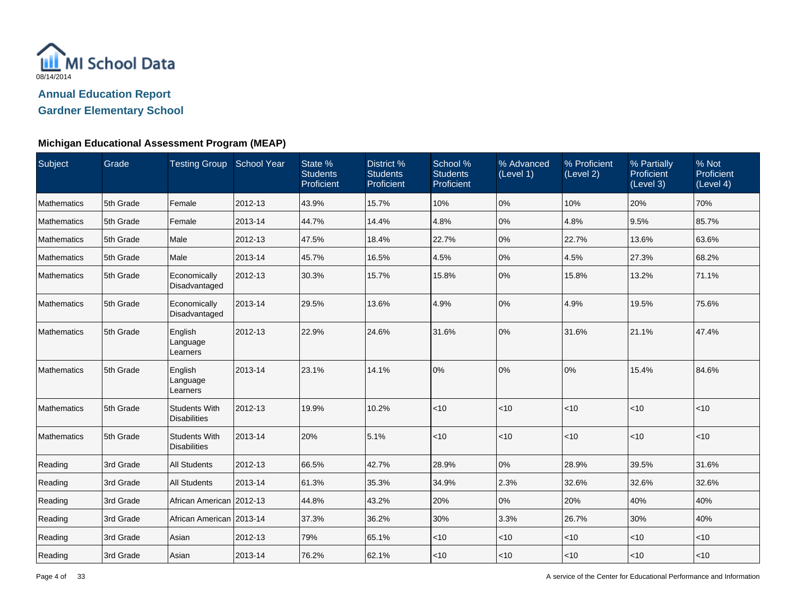

| Subject            | Grade     | Testing Group School Year                   |         | State %<br><b>Students</b><br>Proficient | District %<br><b>Students</b><br>Proficient | School %<br><b>Students</b><br>Proficient | % Advanced<br>(Level 1) | % Proficient<br>(Level 2) | % Partially<br>Proficient<br>(Level 3) | % Not<br>Proficient<br>(Level 4) |
|--------------------|-----------|---------------------------------------------|---------|------------------------------------------|---------------------------------------------|-------------------------------------------|-------------------------|---------------------------|----------------------------------------|----------------------------------|
| Mathematics        | 5th Grade | Female                                      | 2012-13 | 43.9%                                    | 15.7%                                       | 10%                                       | 0%                      | 10%                       | 20%                                    | 70%                              |
| Mathematics        | 5th Grade | Female                                      | 2013-14 | 44.7%                                    | 14.4%                                       | 4.8%                                      | 0%                      | 4.8%                      | 9.5%                                   | 85.7%                            |
| Mathematics        | 5th Grade | Male                                        | 2012-13 | 47.5%                                    | 18.4%                                       | 22.7%                                     | 0%                      | 22.7%                     | 13.6%                                  | 63.6%                            |
| <b>Mathematics</b> | 5th Grade | Male                                        | 2013-14 | 45.7%                                    | 16.5%                                       | 4.5%                                      | 0%                      | 4.5%                      | 27.3%                                  | 68.2%                            |
| Mathematics        | 5th Grade | Economically<br>Disadvantaged               | 2012-13 | 30.3%                                    | 15.7%                                       | 15.8%                                     | 0%                      | 15.8%                     | 13.2%                                  | 71.1%                            |
| Mathematics        | 5th Grade | Economically<br>Disadvantaged               | 2013-14 | 29.5%                                    | 13.6%                                       | 4.9%                                      | 0%                      | 4.9%                      | 19.5%                                  | 75.6%                            |
| Mathematics        | 5th Grade | English<br>Language<br>Learners             | 2012-13 | 22.9%                                    | 24.6%                                       | 31.6%                                     | $0\%$                   | 31.6%                     | 21.1%                                  | 47.4%                            |
| Mathematics        | 5th Grade | English<br>Language<br>Learners             | 2013-14 | 23.1%                                    | 14.1%                                       | 0%                                        | 0%                      | 0%                        | 15.4%                                  | 84.6%                            |
| Mathematics        | 5th Grade | <b>Students With</b><br><b>Disabilities</b> | 2012-13 | 19.9%                                    | 10.2%                                       | $<10$                                     | < 10                    | < 10                      | $<$ 10                                 | < 10                             |
| Mathematics        | 5th Grade | <b>Students With</b><br><b>Disabilities</b> | 2013-14 | 20%                                      | 5.1%                                        | $<10$                                     | < 10                    | $ $ < 10                  | $<$ 10                                 | < 10                             |
| Reading            | 3rd Grade | <b>All Students</b>                         | 2012-13 | 66.5%                                    | 42.7%                                       | 28.9%                                     | 0%                      | 28.9%                     | 39.5%                                  | 31.6%                            |
| Reading            | 3rd Grade | <b>All Students</b>                         | 2013-14 | 61.3%                                    | 35.3%                                       | 34.9%                                     | 2.3%                    | 32.6%                     | 32.6%                                  | 32.6%                            |
| Reading            | 3rd Grade | African American 2012-13                    |         | 44.8%                                    | 43.2%                                       | 20%                                       | 0%                      | 20%                       | 40%                                    | 40%                              |
| Reading            | 3rd Grade | African American   2013-14                  |         | 37.3%                                    | 36.2%                                       | 30%                                       | 3.3%                    | 26.7%                     | 30%                                    | 40%                              |
| Reading            | 3rd Grade | Asian                                       | 2012-13 | 79%                                      | 65.1%                                       | $<$ 10                                    | $<$ 10                  | $<$ 10                    | $<$ 10                                 | $<$ 10                           |
| Reading            | 3rd Grade | Asian                                       | 2013-14 | 76.2%                                    | 62.1%                                       | $<10$                                     | < 10                    | $ $ < 10                  | $<$ 10                                 | $<$ 10                           |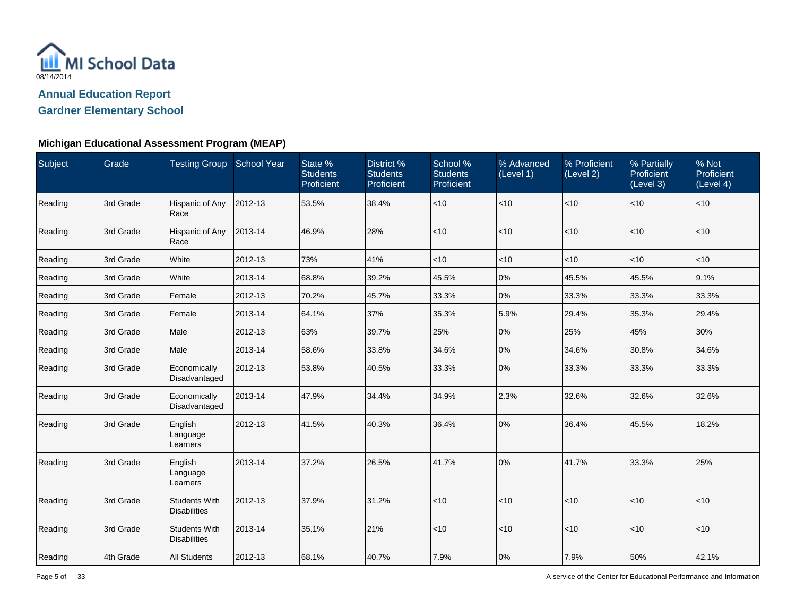

| Subject | Grade     | Testing Group School Year                   |         | State %<br><b>Students</b><br>Proficient | District %<br><b>Students</b><br>Proficient | School %<br><b>Students</b><br>Proficient | % Advanced<br>(Level 1) | % Proficient<br>(Level 2) | % Partially<br>Proficient<br>(Level 3) | % Not<br>Proficient<br>(Level 4) |
|---------|-----------|---------------------------------------------|---------|------------------------------------------|---------------------------------------------|-------------------------------------------|-------------------------|---------------------------|----------------------------------------|----------------------------------|
| Reading | 3rd Grade | Hispanic of Any<br>Race                     | 2012-13 | 53.5%                                    | 38.4%                                       | $<10$                                     | < 10                    | <10                       | ~10                                    | < 10                             |
| Reading | 3rd Grade | Hispanic of Any<br>Race                     | 2013-14 | 46.9%                                    | 28%                                         | $<10$                                     | < 10                    | < 10                      | < 10                                   | < 10                             |
| Reading | 3rd Grade | White                                       | 2012-13 | 73%                                      | 41%                                         | $<$ 10                                    | $ $ < 10                | < 10                      | < 10                                   | < 10                             |
| Reading | 3rd Grade | White                                       | 2013-14 | 68.8%                                    | 39.2%                                       | 45.5%                                     | 0%                      | 45.5%                     | 45.5%                                  | 9.1%                             |
| Reading | 3rd Grade | Female                                      | 2012-13 | 70.2%                                    | 45.7%                                       | 33.3%                                     | 0%                      | 33.3%                     | 33.3%                                  | 33.3%                            |
| Reading | 3rd Grade | Female                                      | 2013-14 | 64.1%                                    | 37%                                         | 35.3%                                     | 5.9%                    | 29.4%                     | 35.3%                                  | 29.4%                            |
| Reading | 3rd Grade | Male                                        | 2012-13 | 63%                                      | 39.7%                                       | 25%                                       | 0%                      | 25%                       | 45%                                    | 30%                              |
| Reading | 3rd Grade | Male                                        | 2013-14 | 58.6%                                    | 33.8%                                       | 34.6%                                     | 0%                      | 34.6%                     | 30.8%                                  | 34.6%                            |
| Reading | 3rd Grade | Economically<br>Disadvantaged               | 2012-13 | 53.8%                                    | 40.5%                                       | 33.3%                                     | 0%                      | 33.3%                     | 33.3%                                  | 33.3%                            |
| Reading | 3rd Grade | Economically<br>Disadvantaged               | 2013-14 | 47.9%                                    | 34.4%                                       | 34.9%                                     | 2.3%                    | 32.6%                     | 32.6%                                  | 32.6%                            |
| Reading | 3rd Grade | English<br>Language<br>Learners             | 2012-13 | 41.5%                                    | 40.3%                                       | 36.4%                                     | 0%                      | 36.4%                     | 45.5%                                  | 18.2%                            |
| Reading | 3rd Grade | English<br>Language<br>Learners             | 2013-14 | 37.2%                                    | 26.5%                                       | 41.7%                                     | 0%                      | 41.7%                     | 33.3%                                  | 25%                              |
| Reading | 3rd Grade | <b>Students With</b><br><b>Disabilities</b> | 2012-13 | 37.9%                                    | 31.2%                                       | <10                                       | < 10                    | <10                       | ~10                                    | $ $ < 10                         |
| Reading | 3rd Grade | <b>Students With</b><br><b>Disabilities</b> | 2013-14 | 35.1%                                    | 21%                                         | $<10$                                     | $ $ < 10                | < 10                      | < 10                                   | < 10                             |
| Reading | 4th Grade | <b>All Students</b>                         | 2012-13 | 68.1%                                    | 40.7%                                       | 7.9%                                      | 0%                      | 7.9%                      | 50%                                    | 42.1%                            |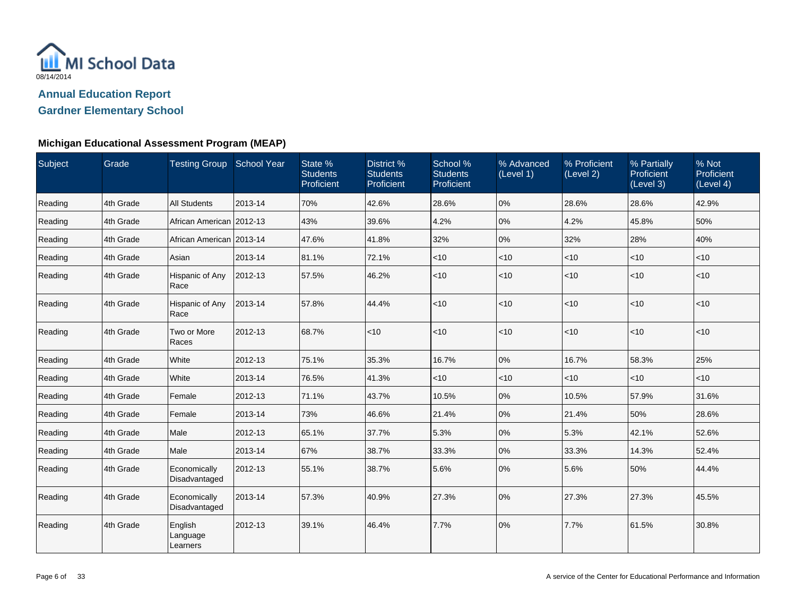

| Subject | Grade     | Testing Group School Year       |         | State %<br><b>Students</b><br>Proficient | District %<br><b>Students</b><br>Proficient | School %<br><b>Students</b><br>Proficient | % Advanced<br>(Level 1) | % Proficient<br>(Level 2) | % Partially<br>Proficient<br>(Level 3) | % Not<br>Proficient<br>(Level 4) |
|---------|-----------|---------------------------------|---------|------------------------------------------|---------------------------------------------|-------------------------------------------|-------------------------|---------------------------|----------------------------------------|----------------------------------|
| Reading | 4th Grade | <b>All Students</b>             | 2013-14 | 70%                                      | 42.6%                                       | 28.6%                                     | 0%                      | 28.6%                     | 28.6%                                  | 42.9%                            |
| Reading | 4th Grade | African American   2012-13      |         | 43%                                      | 39.6%                                       | 4.2%                                      | 0%                      | 4.2%                      | 45.8%                                  | 50%                              |
| Reading | 4th Grade | African American   2013-14      |         | 47.6%                                    | 41.8%                                       | 32%                                       | 0%                      | 32%                       | 28%                                    | 40%                              |
| Reading | 4th Grade | Asian                           | 2013-14 | 81.1%                                    | 72.1%                                       | < 10                                      | $<$ 10                  | $<$ 10                    | $<$ 10                                 | $<$ 10                           |
| Reading | 4th Grade | Hispanic of Any<br>Race         | 2012-13 | 57.5%                                    | 46.2%                                       | $<10$                                     | < 10                    | $ $ < 10                  | $<$ 10                                 | $<$ 10                           |
| Reading | 4th Grade | Hispanic of Any<br>Race         | 2013-14 | 57.8%                                    | 44.4%                                       | $<10$                                     | < 10                    | $ $ < 10                  | $<10$                                  | $<$ 10                           |
| Reading | 4th Grade | Two or More<br>Races            | 2012-13 | 68.7%                                    | $ $ < 10                                    | < 10                                      | < 10                    | $ $ < 10                  | $<$ 10                                 | $<$ 10                           |
| Reading | 4th Grade | White                           | 2012-13 | 75.1%                                    | 35.3%                                       | 16.7%                                     | 0%                      | 16.7%                     | 58.3%                                  | 25%                              |
| Reading | 4th Grade | White                           | 2013-14 | 76.5%                                    | 41.3%                                       | $<$ 10                                    | $<$ 10                  | < 10                      | $<$ 10                                 | $<$ 10                           |
| Reading | 4th Grade | Female                          | 2012-13 | 71.1%                                    | 43.7%                                       | 10.5%                                     | 0%                      | 10.5%                     | 57.9%                                  | 31.6%                            |
| Reading | 4th Grade | Female                          | 2013-14 | 73%                                      | 46.6%                                       | 21.4%                                     | 0%                      | 21.4%                     | 50%                                    | 28.6%                            |
| Reading | 4th Grade | Male                            | 2012-13 | 65.1%                                    | 37.7%                                       | 5.3%                                      | 0%                      | 5.3%                      | 42.1%                                  | 52.6%                            |
| Reading | 4th Grade | Male                            | 2013-14 | 67%                                      | 38.7%                                       | 33.3%                                     | 0%                      | 33.3%                     | 14.3%                                  | 52.4%                            |
| Reading | 4th Grade | Economically<br>Disadvantaged   | 2012-13 | 55.1%                                    | 38.7%                                       | 5.6%                                      | 0%                      | 5.6%                      | 50%                                    | 44.4%                            |
| Reading | 4th Grade | Economically<br>Disadvantaged   | 2013-14 | 57.3%                                    | 40.9%                                       | 27.3%                                     | 0%                      | 27.3%                     | 27.3%                                  | 45.5%                            |
| Reading | 4th Grade | English<br>Language<br>Learners | 2012-13 | 39.1%                                    | 46.4%                                       | 7.7%                                      | 0%                      | 7.7%                      | 61.5%                                  | 30.8%                            |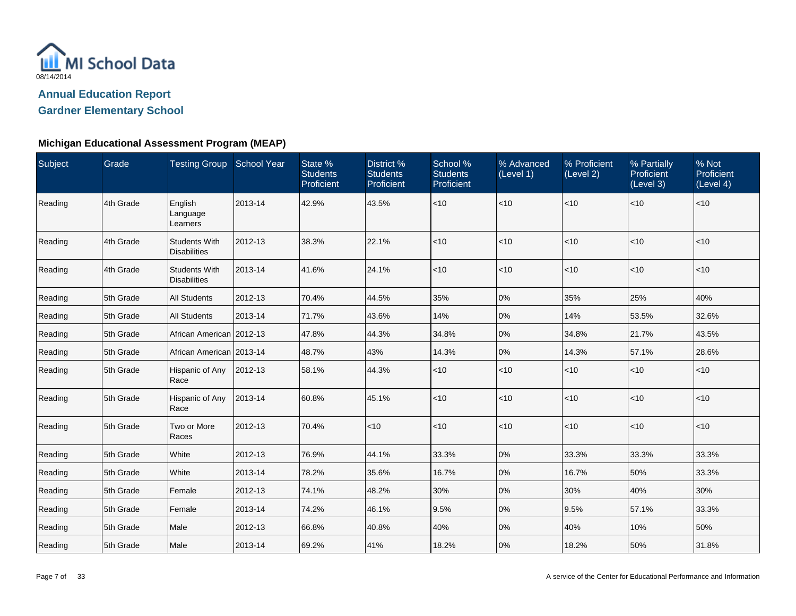

| Subject | Grade     | Testing Group School Year                   |         | State %<br><b>Students</b><br>Proficient | District %<br><b>Students</b><br>Proficient | School %<br><b>Students</b><br>Proficient | % Advanced<br>(Level 1) | % Proficient<br>(Level 2) | % Partially<br><b>Proficient</b><br>(Level 3) | % Not<br>Proficient<br>(Level 4) |
|---------|-----------|---------------------------------------------|---------|------------------------------------------|---------------------------------------------|-------------------------------------------|-------------------------|---------------------------|-----------------------------------------------|----------------------------------|
| Reading | 4th Grade | English<br>Language<br>Learners             | 2013-14 | 42.9%                                    | 43.5%                                       | < 10                                      | $<$ 10                  | $<$ 10                    | $<$ 10                                        | $<$ 10                           |
| Reading | 4th Grade | <b>Students With</b><br><b>Disabilities</b> | 2012-13 | 38.3%                                    | 22.1%                                       | < 10                                      | $<$ 10                  | $<$ 10                    | $<$ 10                                        | $<$ 10                           |
| Reading | 4th Grade | <b>Students With</b><br><b>Disabilities</b> | 2013-14 | 41.6%                                    | 24.1%                                       | < 10                                      | $<$ 10                  | $<$ 10                    | $<$ 10                                        | $<$ 10                           |
| Reading | 5th Grade | <b>All Students</b>                         | 2012-13 | 70.4%                                    | 44.5%                                       | 35%                                       | 0%                      | 35%                       | 25%                                           | 40%                              |
| Reading | 5th Grade | <b>All Students</b>                         | 2013-14 | 71.7%                                    | 43.6%                                       | 14%                                       | $0\%$                   | 14%                       | 53.5%                                         | 32.6%                            |
| Reading | 5th Grade | African American   2012-13                  |         | 47.8%                                    | 44.3%                                       | 34.8%                                     | $0\%$                   | 34.8%                     | 21.7%                                         | 43.5%                            |
| Reading | 5th Grade | African American   2013-14                  |         | 48.7%                                    | 43%                                         | 14.3%                                     | 0%                      | 14.3%                     | 57.1%                                         | 28.6%                            |
| Reading | 5th Grade | Hispanic of Any<br>Race                     | 2012-13 | 58.1%                                    | 44.3%                                       | ~10                                       | $<$ 10                  | $<$ 10                    | $<$ 10                                        | $<$ 10                           |
| Reading | 5th Grade | Hispanic of Any<br>Race                     | 2013-14 | 60.8%                                    | 45.1%                                       | < 10                                      | $<$ 10                  | $<$ 10                    | $<$ 10                                        | $<$ 10                           |
| Reading | 5th Grade | Two or More<br>Races                        | 2012-13 | 70.4%                                    | < 10                                        | $<10$                                     | $<$ 10                  | $<$ 10                    | ~10                                           | $<$ 10                           |
| Reading | 5th Grade | White                                       | 2012-13 | 76.9%                                    | 44.1%                                       | 33.3%                                     | $0\%$                   | 33.3%                     | 33.3%                                         | 33.3%                            |
| Reading | 5th Grade | White                                       | 2013-14 | 78.2%                                    | 35.6%                                       | 16.7%                                     | 0%                      | 16.7%                     | 50%                                           | 33.3%                            |
| Reading | 5th Grade | Female                                      | 2012-13 | 74.1%                                    | 48.2%                                       | 30%                                       | 0%                      | 30%                       | 40%                                           | 30%                              |
| Reading | 5th Grade | Female                                      | 2013-14 | 74.2%                                    | 46.1%                                       | 9.5%                                      | 0%                      | 9.5%                      | 57.1%                                         | 33.3%                            |
| Reading | 5th Grade | Male                                        | 2012-13 | 66.8%                                    | 40.8%                                       | 40%                                       | 0%                      | 40%                       | 10%                                           | 50%                              |
| Reading | 5th Grade | Male                                        | 2013-14 | 69.2%                                    | 41%                                         | 18.2%                                     | 0%                      | 18.2%                     | 50%                                           | 31.8%                            |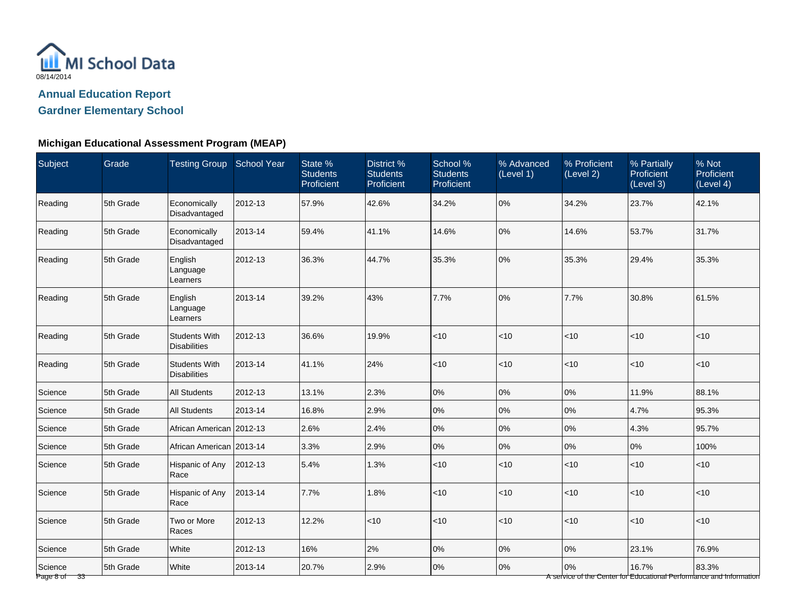

#### **Michigan Educational Assessment Program (MEAP)**

| Subject                             | <b>Grade</b> | Testing Group School Year                   |         | State %<br><b>Students</b><br>Proficient | District %<br><b>Students</b><br>Proficient | School %<br><b>Students</b><br>Proficient | % Advanced<br>(Level 1) | % Proficient<br>(Level 2) | % Partially<br>Proficient<br>(Level 3) | $%$ Not<br>Proficient<br>(Level 4)                                           |
|-------------------------------------|--------------|---------------------------------------------|---------|------------------------------------------|---------------------------------------------|-------------------------------------------|-------------------------|---------------------------|----------------------------------------|------------------------------------------------------------------------------|
| Reading                             | 5th Grade    | Economically<br>Disadvantaged               | 2012-13 | 57.9%                                    | 42.6%                                       | 34.2%                                     | 0%                      | 34.2%                     | 23.7%                                  | 42.1%                                                                        |
| Reading                             | 5th Grade    | Economically<br>Disadvantaged               | 2013-14 | 59.4%                                    | 41.1%                                       | 14.6%                                     | 0%                      | 14.6%                     | 53.7%                                  | 31.7%                                                                        |
| Reading                             | 5th Grade    | English<br>Language<br>Learners             | 2012-13 | 36.3%                                    | 44.7%                                       | 35.3%                                     | 0%                      | 35.3%                     | 29.4%                                  | 35.3%                                                                        |
| Reading                             | 5th Grade    | English<br>Language<br>Learners             | 2013-14 | 39.2%                                    | 43%                                         | 7.7%                                      | 0%                      | 7.7%                      | 30.8%                                  | 61.5%                                                                        |
| Reading                             | 5th Grade    | <b>Students With</b><br><b>Disabilities</b> | 2012-13 | 36.6%                                    | 19.9%                                       | $ $ < 10                                  | $<$ 10                  | $<10$                     | <10                                    | < 10                                                                         |
| Reading                             | 5th Grade    | <b>Students With</b><br><b>Disabilities</b> | 2013-14 | 41.1%                                    | 24%                                         | $ $ < 10                                  | $<$ 10                  | $<10$                     | <10                                    | $ $ < 10                                                                     |
| Science                             | 5th Grade    | <b>All Students</b>                         | 2012-13 | 13.1%                                    | 2.3%                                        | 0%                                        | $0\%$                   | $0\%$                     | 11.9%                                  | 88.1%                                                                        |
| Science                             | 5th Grade    | <b>All Students</b>                         | 2013-14 | 16.8%                                    | 2.9%                                        | 0%                                        | $0\%$                   | $0\%$                     | 4.7%                                   | 95.3%                                                                        |
| Science                             | 5th Grade    | African American 2012-13                    |         | 2.6%                                     | 2.4%                                        | 0%                                        | 0%                      | $0\%$                     | 4.3%                                   | 95.7%                                                                        |
| Science                             | 5th Grade    | African American 2013-14                    |         | 3.3%                                     | 2.9%                                        | 0%                                        | 0%                      | 0%                        | 0%                                     | 100%                                                                         |
| Science                             | 5th Grade    | Hispanic of Any<br>Race                     | 2012-13 | 5.4%                                     | 1.3%                                        | < 10                                      | $<$ 10                  | < 10                      | $<10$                                  | < 10                                                                         |
| Science                             | 5th Grade    | Hispanic of Any<br>Race                     | 2013-14 | 7.7%                                     | 1.8%                                        | $ $ < 10                                  | $<$ 10                  | <10                       | $<10$                                  | < 10                                                                         |
| Science                             | 5th Grade    | Two or More<br>Races                        | 2012-13 | 12.2%                                    | <10                                         | $ $ < 10                                  | $<$ 10                  | < 10                      | $<$ 10                                 | $ $ < 10                                                                     |
| Science                             | 5th Grade    | White                                       | 2012-13 | 16%                                      | 2%                                          | 0%                                        | $0\%$                   | 0%                        | 23.1%                                  | 76.9%                                                                        |
| Science<br>Page 8 of $\frac{33}{ }$ | 5th Grade    | White                                       | 2013-14 | 20.7%                                    | 2.9%                                        | 0%                                        | $0\%$                   | 0%                        | 16.7%                                  | 83.3%<br>A service of the Center for Educational Performance and Information |

Page 8 of 33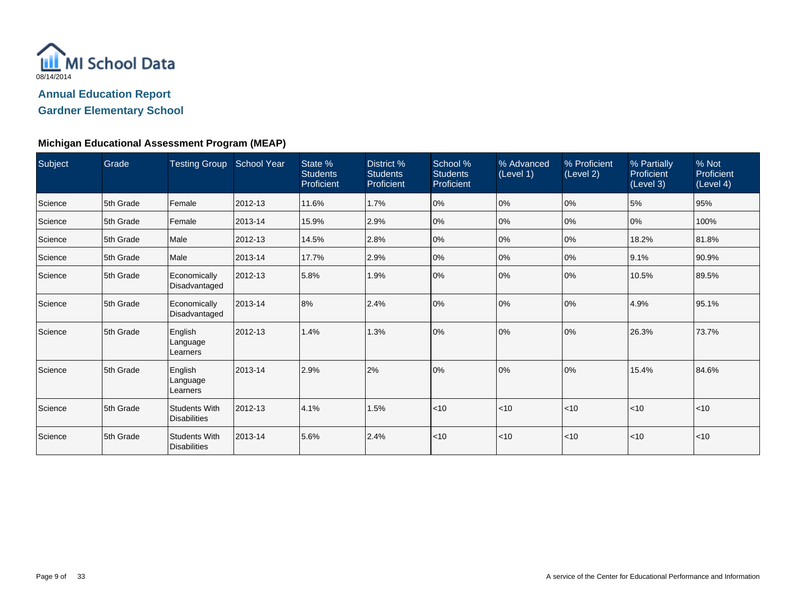

| Subject | Grade     | <b>Testing Group School Year</b>            |         | State %<br><b>Students</b><br>Proficient | District %<br><b>Students</b><br>Proficient | School %<br><b>Students</b><br>Proficient | % Advanced<br>(Level 1) | % Proficient<br>(Level 2) | % Partially<br>Proficient<br>(Level 3) | % Not<br>Proficient<br>(Level 4) |
|---------|-----------|---------------------------------------------|---------|------------------------------------------|---------------------------------------------|-------------------------------------------|-------------------------|---------------------------|----------------------------------------|----------------------------------|
| Science | 5th Grade | Female                                      | 2012-13 | 11.6%                                    | 1.7%                                        | 0%                                        | 0%                      | 0%                        | 5%                                     | 95%                              |
| Science | 5th Grade | Female                                      | 2013-14 | 15.9%                                    | 2.9%                                        | 0%                                        | 0%                      | 0%                        | 0%                                     | 100%                             |
| Science | 5th Grade | Male                                        | 2012-13 | 14.5%                                    | 2.8%                                        | 0%                                        | 0%                      | 0%                        | 18.2%                                  | 81.8%                            |
| Science | 5th Grade | Male                                        | 2013-14 | 17.7%                                    | 2.9%                                        | 0%                                        | 0%                      | $ 0\%$                    | 9.1%                                   | 90.9%                            |
| Science | 5th Grade | Economically<br>Disadvantaged               | 2012-13 | 5.8%                                     | 1.9%                                        | 0%                                        | 0%                      | $ 0\%$                    | 10.5%                                  | 89.5%                            |
| Science | 5th Grade | Economically<br>Disadvantaged               | 2013-14 | 8%                                       | 2.4%                                        | 0%                                        | 0%                      | 10%                       | 4.9%                                   | 95.1%                            |
| Science | 5th Grade | English<br>Language<br>Learners             | 2012-13 | 1.4%                                     | 1.3%                                        | 0%                                        | 0%                      | 0%                        | 26.3%                                  | 73.7%                            |
| Science | 5th Grade | English<br>Language<br>Learners             | 2013-14 | 2.9%                                     | 2%                                          | 0%                                        | 0%                      | 0%                        | 15.4%                                  | 84.6%                            |
| Science | 5th Grade | <b>Students With</b><br><b>Disabilities</b> | 2012-13 | 4.1%                                     | 1.5%                                        | < 10                                      | < 10                    | $ $ < 10                  | < 10                                   | $ $ < 10                         |
| Science | 5th Grade | <b>Students With</b><br><b>Disabilities</b> | 2013-14 | 5.6%                                     | 2.4%                                        | $\vert$ < 10                              | < 10                    | $ $ < 10                  | $ $ < 10                               | $\mathsf{I}$ <10                 |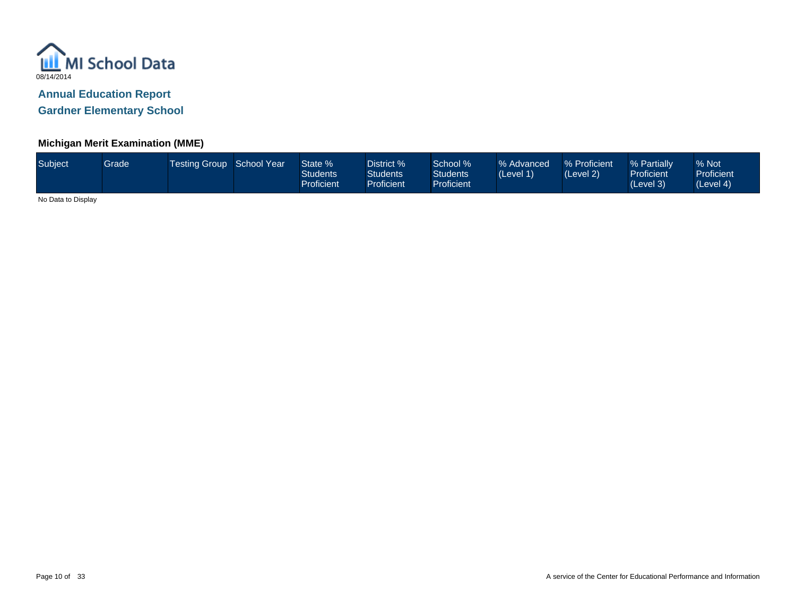

## **Michigan Merit Examination (MME)**

| Subject | Grade | Testing Group School Year |  | State %<br>Students<br>Proficient | District %<br>Students <sup>®</sup><br><b>Proficient</b> | School %<br><b>Students</b><br>Proficient <sup>1</sup> | % Advanced<br>(Level 1) | % Proficient<br>(Level 2) | % Partially<br><b>Proficient</b><br>(Level 3) | % Not<br><b>Proficient</b><br>(Level 4) |
|---------|-------|---------------------------|--|-----------------------------------|----------------------------------------------------------|--------------------------------------------------------|-------------------------|---------------------------|-----------------------------------------------|-----------------------------------------|
|---------|-------|---------------------------|--|-----------------------------------|----------------------------------------------------------|--------------------------------------------------------|-------------------------|---------------------------|-----------------------------------------------|-----------------------------------------|

No Data to Display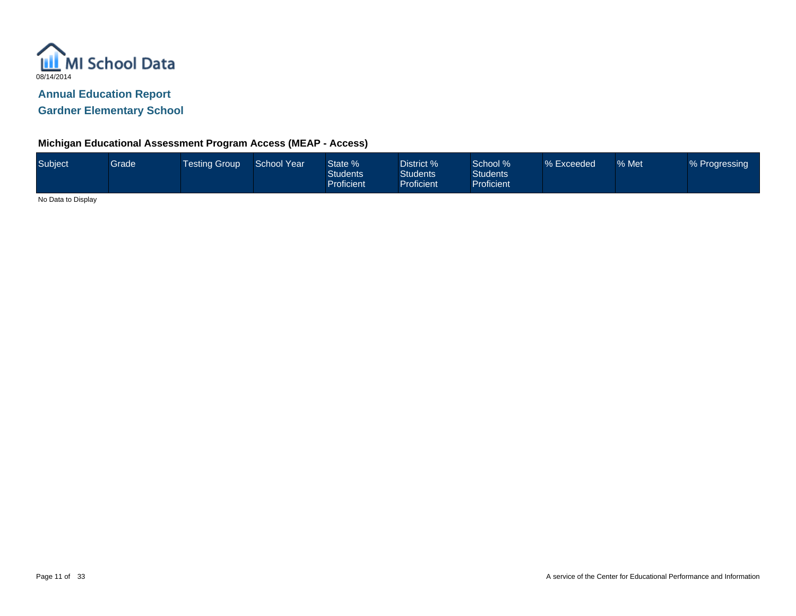

## **Michigan Educational Assessment Program Access (MEAP - Access)**

| Subject | Grade | <b>Testing Group</b> | School Year | State %<br><b>Students</b><br><b>Proficient</b> | District %<br><b>Students</b><br><b>Proficient</b> | School %<br><b>Students</b><br><b>Proficient</b> | % Exceeded | % Met | % Progressing |
|---------|-------|----------------------|-------------|-------------------------------------------------|----------------------------------------------------|--------------------------------------------------|------------|-------|---------------|
|         |       |                      |             |                                                 |                                                    |                                                  |            |       |               |

No Data to Display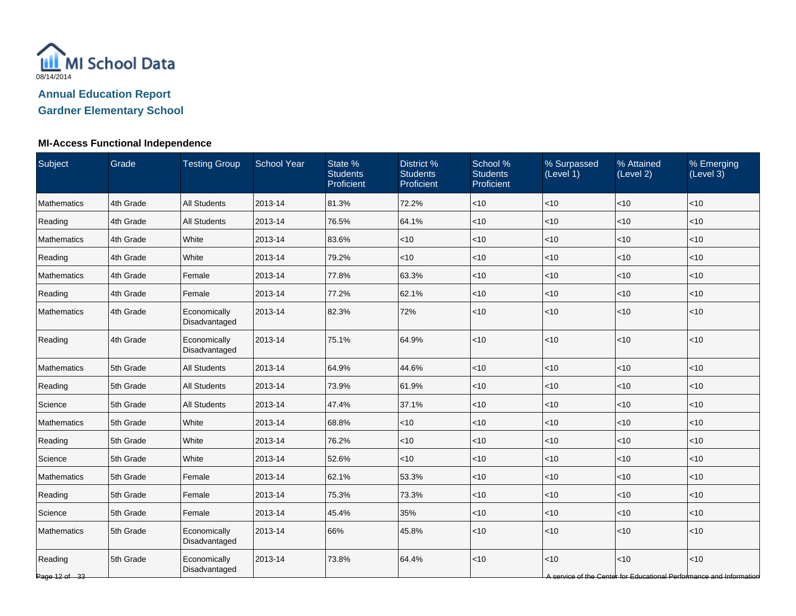

## **MI-Access Functional Independence**

| Subject                      | Grade     | <b>Testing Group</b>          | <b>School Year</b> | State %<br><b>Students</b><br>Proficient | District %<br><b>Students</b><br>Proficient | School %<br><b>Students</b><br>Proficient | % Surpassed<br>(Level 1) | % Attained<br>(Level 2) | % Emerging<br>(Level 3)                                                     |
|------------------------------|-----------|-------------------------------|--------------------|------------------------------------------|---------------------------------------------|-------------------------------------------|--------------------------|-------------------------|-----------------------------------------------------------------------------|
| Mathematics                  | 4th Grade | <b>All Students</b>           | 2013-14            | 81.3%                                    | 72.2%                                       | < 10                                      | <10                      | <10                     | < 10                                                                        |
| Reading                      | 4th Grade | <b>All Students</b>           | 2013-14            | 76.5%                                    | 64.1%                                       | <10                                       | <10                      | <10                     | < 10                                                                        |
| <b>Mathematics</b>           | 4th Grade | White                         | 2013-14            | 83.6%                                    | < 10                                        | $<$ 10                                    | < 10                     | < 10                    | < 10                                                                        |
| Reading                      | 4th Grade | White                         | 2013-14            | 79.2%                                    | $<$ 10                                      | $<$ 10                                    | < 10                     | < 10                    | $<$ 10                                                                      |
| Mathematics                  | 4th Grade | Female                        | 2013-14            | 77.8%                                    | 63.3%                                       | $<$ 10                                    | $<$ 10                   | $<$ 10                  | $<$ 10                                                                      |
| Reading                      | 4th Grade | Female                        | 2013-14            | 77.2%                                    | 62.1%                                       | $<$ 10                                    | <10                      | < 10                    | < 10                                                                        |
| Mathematics                  | 4th Grade | Economically<br>Disadvantaged | 2013-14            | 82.3%                                    | 72%                                         | $<$ 10                                    | <10                      | <10                     | < 10                                                                        |
| Reading                      | 4th Grade | Economically<br>Disadvantaged | 2013-14            | 75.1%                                    | 64.9%                                       | < 10                                      | < 10                     | $<10$                   | < 10                                                                        |
| Mathematics                  | 5th Grade | <b>All Students</b>           | 2013-14            | 64.9%                                    | 44.6%                                       | $<$ 10                                    | <10                      | < 10                    | < 10                                                                        |
| Reading                      | 5th Grade | <b>All Students</b>           | 2013-14            | 73.9%                                    | 61.9%                                       | $<$ 10                                    | <10                      | <10                     | < 10                                                                        |
| Science                      | 5th Grade | <b>All Students</b>           | 2013-14            | 47.4%                                    | 37.1%                                       | $<$ 10                                    | < 10                     | <10                     | < 10                                                                        |
| Mathematics                  | 5th Grade | White                         | 2013-14            | 68.8%                                    | $<$ 10                                      | $<$ 10                                    | < 10                     | <10                     | < 10                                                                        |
| Reading                      | 5th Grade | White                         | 2013-14            | 76.2%                                    | <10                                         | $<$ 10                                    | $<$ 10                   | $<$ 10                  | < 10                                                                        |
| Science                      | 5th Grade | White                         | 2013-14            | 52.6%                                    | <10                                         | $<$ 10                                    | $<$ 10                   | < 10                    | $<$ 10                                                                      |
| <b>Mathematics</b>           | 5th Grade | Female                        | 2013-14            | 62.1%                                    | 53.3%                                       | $<$ 10                                    | <10                      | <10                     | < 10                                                                        |
| Reading                      | 5th Grade | Female                        | 2013-14            | 75.3%                                    | 73.3%                                       | $<$ 10                                    | <10                      | <10                     | < 10                                                                        |
| Science                      | 5th Grade | Female                        | 2013-14            | 45.4%                                    | 35%                                         | $<$ 10                                    | < 10                     | < 10                    | $<$ 10                                                                      |
| Mathematics                  | 5th Grade | Economically<br>Disadvantaged | 2013-14            | 66%                                      | 45.8%                                       | $<$ 10                                    | < 10                     | < 10                    | $<$ 10                                                                      |
| Reading<br>Page $12$ of $33$ | 5th Grade | Economically<br>Disadvantaged | 2013-14            | 73.8%                                    | 64.4%                                       | $<$ 10                                    | <10                      | <10                     | < 10<br>A service of the Center for Educational Performance and Information |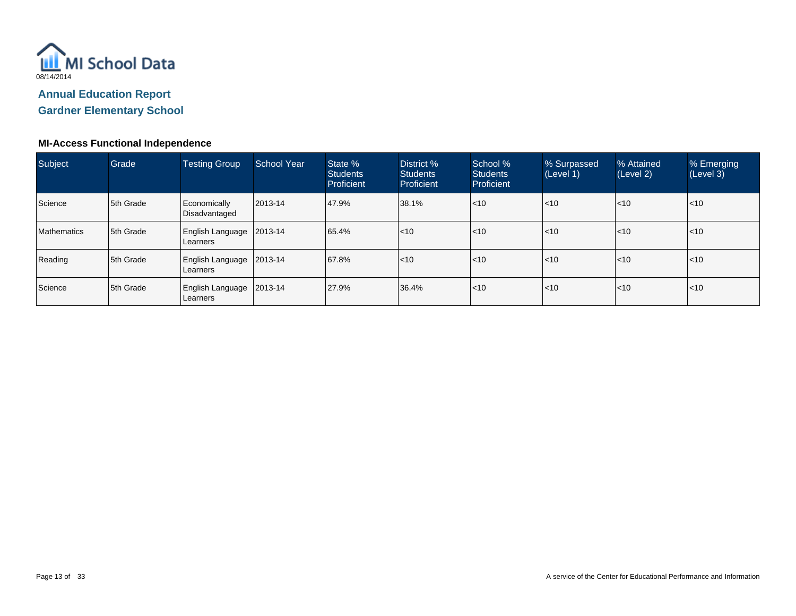

## **MI-Access Functional Independence**

| Subject     | Grade     | Testing Group                       | School Year<br>State %<br><b>Students</b><br>Proficient |       | District %<br><b>Students</b><br><b>Proficient</b> | School %<br><b>Students</b><br>Proficient | % Surpassed<br>(Level 1) | % Attained<br>(Level 2) | % Emerging<br>(Level 3) |
|-------------|-----------|-------------------------------------|---------------------------------------------------------|-------|----------------------------------------------------|-------------------------------------------|--------------------------|-------------------------|-------------------------|
| Science     | 5th Grade | Economically<br>Disadvantaged       | 2013-14                                                 | 47.9% | 38.1%                                              | < 10                                      | $ $ < 10                 | $ $ < 10                | $ $ < 10                |
| Mathematics | 5th Grade | English Language<br>Learners        | 2013-14                                                 | 65.4% | $ $ < 10                                           | < 10                                      | $ $ < 10                 | $ $ < 10                | $ $ < 10                |
| Reading     | 5th Grade | English Language<br>Learners        | 2013-14                                                 | 67.8% | $ $ < 10                                           | < 10                                      | $ $ < 10                 | $ $ < 10                | $ $ <10                 |
| Science     | 5th Grade | <b>English Language</b><br>Learners | 2013-14                                                 | 27.9% | 36.4%                                              | $<$ 10                                    | $\mathsf{I}$ <10         | $\leq 10$               | $ $ <10                 |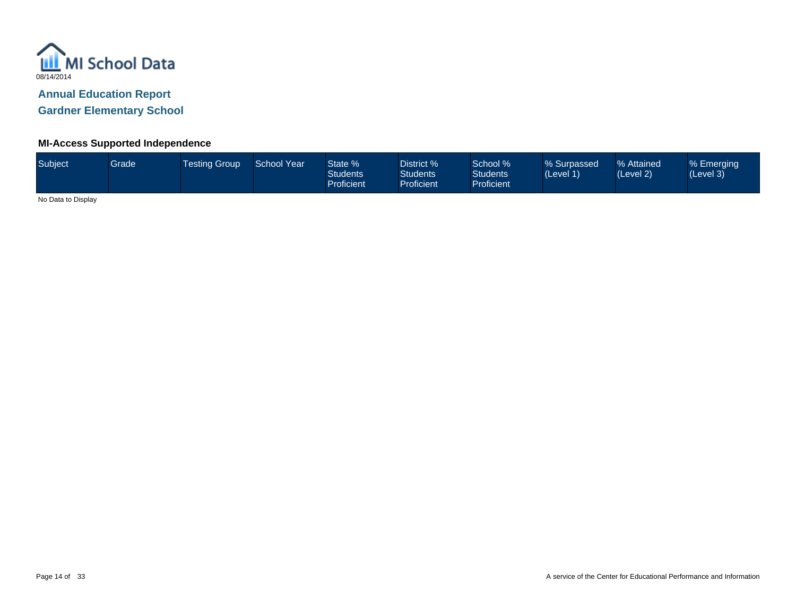

#### **MI-Access Supported Independence**

| Subject <sup>1</sup> | Grade | <b>Testing Group</b> | School Year | State %<br><b>Students</b><br><b>Proficient</b> | District %<br><b>Students</b><br>Proficient | School %<br><b>Students</b><br><b>Proficient</b> | % Surpassed<br>(Level 1) | % Attained<br>(Level 2) | % Emerging<br>(Level 3) |
|----------------------|-------|----------------------|-------------|-------------------------------------------------|---------------------------------------------|--------------------------------------------------|--------------------------|-------------------------|-------------------------|
| .                    |       |                      |             |                                                 |                                             |                                                  |                          |                         |                         |

No Data to Display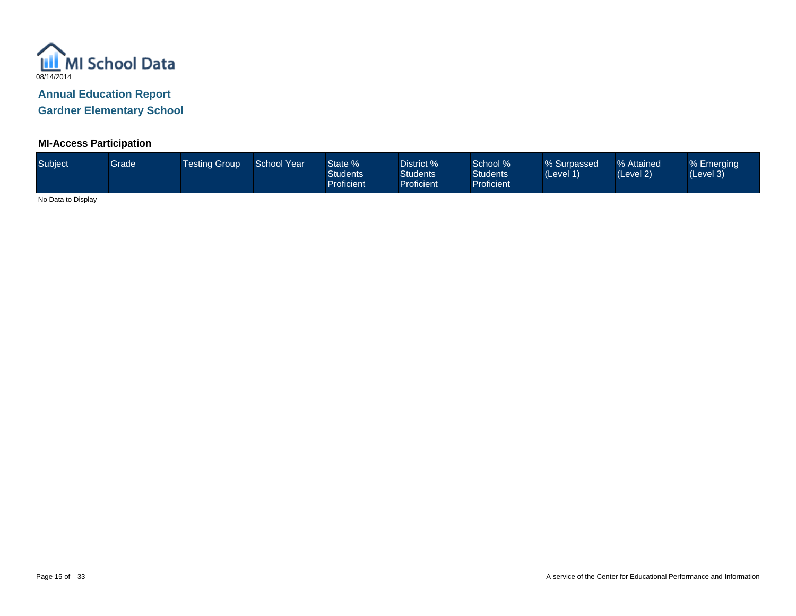

## **MI-Access Participation**

| Subject           | Grade <sup>1</sup> | <b>Testing Group</b> | <b>School Year</b> | State %<br><b>Students</b><br>Proficient | District %<br><b>Students</b><br>Proficient | School %<br><b>Students</b><br><b>Proficient</b> | % Surpassed<br>(Level 1) | % Attained<br>(Level 2) | % Emerging<br>(Level 3) |
|-------------------|--------------------|----------------------|--------------------|------------------------------------------|---------------------------------------------|--------------------------------------------------|--------------------------|-------------------------|-------------------------|
| $\cdots$ $\cdots$ |                    |                      |                    |                                          |                                             |                                                  |                          |                         |                         |

No Data to Display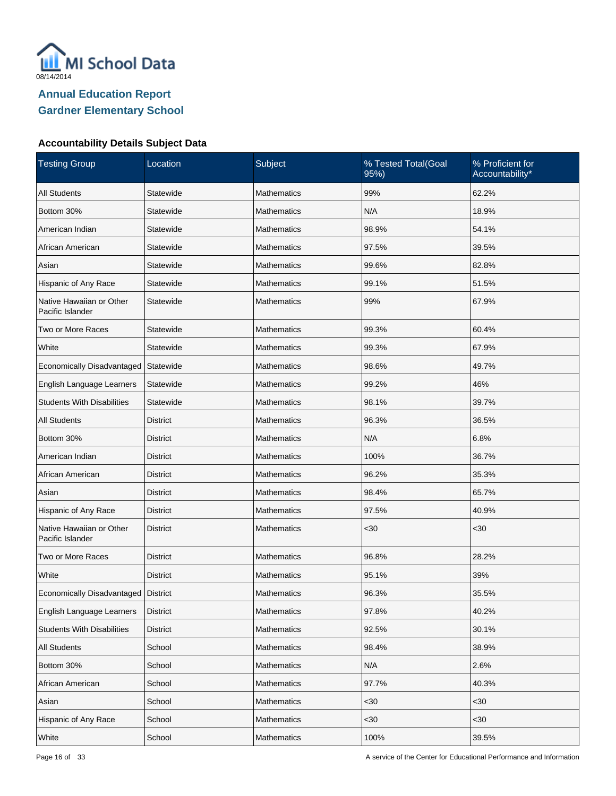

| <b>Testing Group</b>                         | Subject<br>Location<br>% Tested Total(Goal<br>95%) |                    | % Proficient for<br>Accountability* |       |
|----------------------------------------------|----------------------------------------------------|--------------------|-------------------------------------|-------|
| <b>All Students</b>                          | Statewide                                          | <b>Mathematics</b> | 99%                                 | 62.2% |
| Bottom 30%                                   | Statewide                                          | <b>Mathematics</b> | N/A                                 | 18.9% |
| American Indian                              | Statewide                                          | Mathematics        | 98.9%                               | 54.1% |
| African American                             | Statewide                                          | <b>Mathematics</b> | 97.5%                               | 39.5% |
| Asian                                        | Statewide                                          | <b>Mathematics</b> | 99.6%                               | 82.8% |
| Hispanic of Any Race                         | Statewide                                          | <b>Mathematics</b> | 99.1%                               | 51.5% |
| Native Hawaiian or Other<br>Pacific Islander | Statewide                                          | <b>Mathematics</b> | 99%                                 | 67.9% |
| Two or More Races                            | Statewide                                          | <b>Mathematics</b> | 99.3%                               | 60.4% |
| White                                        | Statewide                                          | Mathematics        | 99.3%                               | 67.9% |
| Economically Disadvantaged                   | Statewide                                          | <b>Mathematics</b> | 98.6%                               | 49.7% |
| English Language Learners                    | Statewide                                          | Mathematics        | 99.2%                               | 46%   |
| <b>Students With Disabilities</b>            | Statewide                                          | <b>Mathematics</b> | 98.1%                               | 39.7% |
| <b>All Students</b>                          | <b>District</b>                                    | Mathematics        | 96.3%                               | 36.5% |
| Bottom 30%                                   | District                                           | <b>Mathematics</b> | N/A                                 | 6.8%  |
| American Indian                              | <b>District</b>                                    | Mathematics        | 100%                                | 36.7% |
| African American                             | <b>District</b>                                    | <b>Mathematics</b> | 96.2%                               | 35.3% |
| Asian                                        | <b>District</b>                                    | Mathematics        | 98.4%                               | 65.7% |
| Hispanic of Any Race                         | District                                           | <b>Mathematics</b> | 97.5%                               | 40.9% |
| Native Hawaiian or Other<br>Pacific Islander | <b>District</b>                                    | <b>Mathematics</b> | $30$                                | $30$  |
| Two or More Races                            | <b>District</b>                                    | <b>Mathematics</b> | 96.8%                               | 28.2% |
| White                                        | <b>District</b>                                    | Mathematics        | 95.1%                               | 39%   |
| Economically Disadvantaged                   | District                                           | <b>Mathematics</b> | 96.3%                               | 35.5% |
| English Language Learners                    | <b>District</b>                                    | Mathematics        | 97.8%                               | 40.2% |
| <b>Students With Disabilities</b>            | <b>District</b>                                    | Mathematics        | 92.5%                               | 30.1% |
| <b>All Students</b>                          | School                                             | <b>Mathematics</b> | 98.4%                               | 38.9% |
| Bottom 30%                                   | School                                             | Mathematics        | N/A                                 | 2.6%  |
| African American                             | School                                             | <b>Mathematics</b> | 97.7%                               | 40.3% |
| Asian                                        | School                                             | Mathematics        | $30$                                | <30   |
| Hispanic of Any Race                         | School                                             | Mathematics        | $30$                                | <30   |
| White                                        | School                                             | Mathematics        | 100%                                | 39.5% |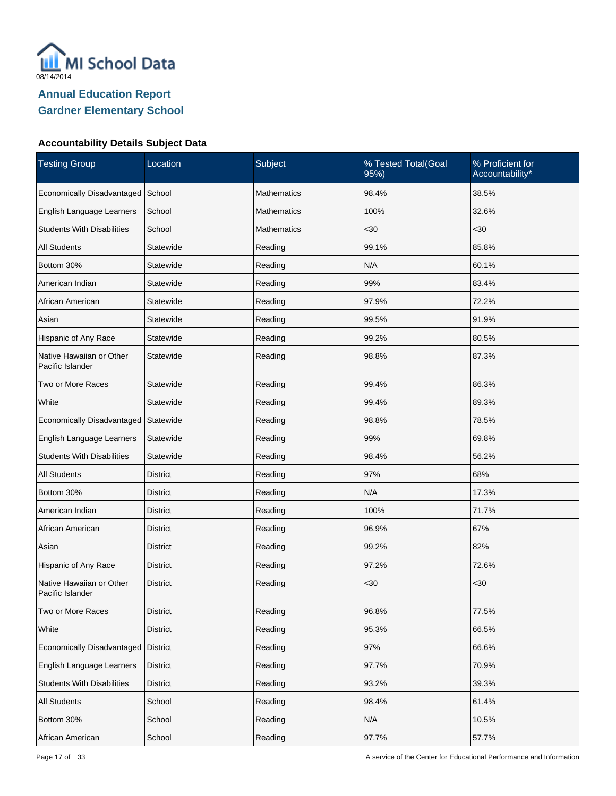

| <b>Testing Group</b>                         | Location<br>Subject |                    | % Tested Total(Goal<br>95%) | % Proficient for<br>Accountability* |
|----------------------------------------------|---------------------|--------------------|-----------------------------|-------------------------------------|
| Economically Disadvantaged                   | School              | Mathematics        | 98.4%                       | 38.5%                               |
| English Language Learners                    | School              | Mathematics        | 100%                        | 32.6%                               |
| <b>Students With Disabilities</b>            | School              | <b>Mathematics</b> | $30$                        | $30$                                |
| <b>All Students</b>                          | Statewide           | Reading            | 99.1%                       | 85.8%                               |
| Bottom 30%                                   | Statewide           | Reading            | N/A                         | 60.1%                               |
| American Indian                              | Statewide           | Reading            | 99%                         | 83.4%                               |
| African American                             | Statewide           | Reading            | 97.9%                       | 72.2%                               |
| Asian                                        | Statewide           | Reading            | 99.5%                       | 91.9%                               |
| Hispanic of Any Race                         | Statewide           | Reading            | 99.2%                       | 80.5%                               |
| Native Hawaiian or Other<br>Pacific Islander | Statewide           | Reading            | 98.8%                       | 87.3%                               |
| Two or More Races                            | Statewide           | Reading            | 99.4%                       | 86.3%                               |
| White                                        | Statewide           | Reading            | 99.4%                       | 89.3%                               |
| Economically Disadvantaged                   | Statewide           | Reading            | 98.8%                       | 78.5%                               |
| English Language Learners                    | Statewide           | Reading            | 99%                         | 69.8%                               |
| <b>Students With Disabilities</b>            | Statewide           | Reading            | 98.4%                       | 56.2%                               |
| All Students                                 | District            | Reading            | 97%                         | 68%                                 |
| Bottom 30%                                   | District            | Reading            | N/A                         | 17.3%                               |
| American Indian                              | District            | Reading            | 100%                        | 71.7%                               |
| African American                             | District            | Reading            | 96.9%                       | 67%                                 |
| Asian                                        | District            | Reading            | 99.2%                       | 82%                                 |
| Hispanic of Any Race                         | <b>District</b>     | Reading            | 97.2%                       | 72.6%                               |
| Native Hawaiian or Other<br>Pacific Islander | <b>District</b>     | Reading            | $30$                        | $30$                                |
| Two or More Races                            | <b>District</b>     | Reading            | 96.8%                       | 77.5%                               |
| White                                        | <b>District</b>     | Reading            | 95.3%                       | 66.5%                               |
| Economically Disadvantaged                   | District            | Reading            | 97%                         | 66.6%                               |
| English Language Learners                    | <b>District</b>     | Reading            | 97.7%                       | 70.9%                               |
| <b>Students With Disabilities</b>            | <b>District</b>     | Reading            | 93.2%                       | 39.3%                               |
| <b>All Students</b>                          | School              | Reading            | 98.4%                       | 61.4%                               |
| Bottom 30%                                   | School              | Reading            | N/A                         | 10.5%                               |
| African American                             | School              | Reading            | 97.7%                       | 57.7%                               |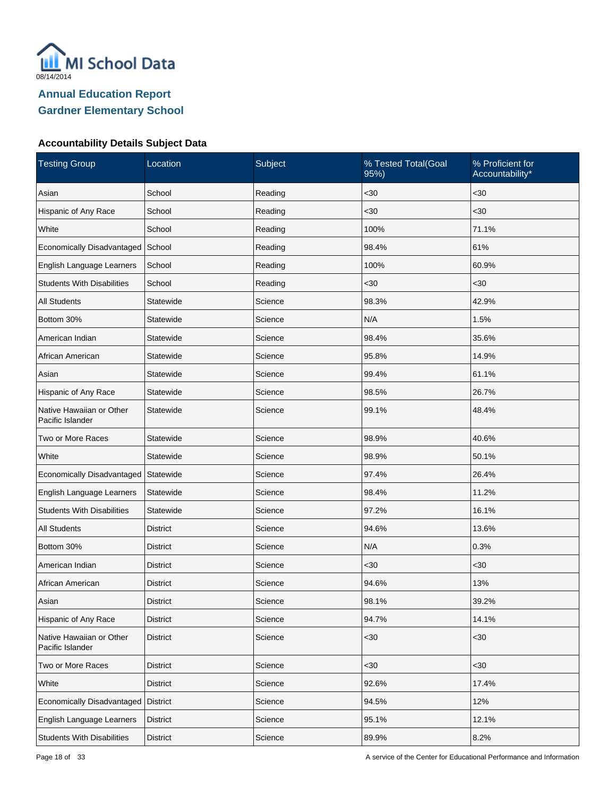

| <b>Testing Group</b>                         | Location        | Subject | % Tested Total(Goal<br>95%) | % Proficient for<br>Accountability* |
|----------------------------------------------|-----------------|---------|-----------------------------|-------------------------------------|
| Asian                                        | School          | Reading | $30$                        | $30$                                |
| Hispanic of Any Race                         | School          | Reading | $30$                        | <30                                 |
| White                                        | School          | Reading | 100%                        | 71.1%                               |
| Economically Disadvantaged                   | School          | Reading | 98.4%                       | 61%                                 |
| English Language Learners                    | School          | Reading | 100%                        | 60.9%                               |
| <b>Students With Disabilities</b>            | School          | Reading | $30$                        | $30$                                |
| <b>All Students</b>                          | Statewide       | Science | 98.3%                       | 42.9%                               |
| Bottom 30%                                   | Statewide       | Science | N/A                         | 1.5%                                |
| American Indian                              | Statewide       | Science | 98.4%                       | 35.6%                               |
| African American                             | Statewide       | Science | 95.8%                       | 14.9%                               |
| Asian                                        | Statewide       | Science | 99.4%                       | 61.1%                               |
| Hispanic of Any Race                         | Statewide       | Science | 98.5%                       | 26.7%                               |
| Native Hawaiian or Other<br>Pacific Islander | Statewide       | Science | 99.1%                       | 48.4%                               |
| Two or More Races                            | Statewide       | Science | 98.9%                       | 40.6%                               |
| White                                        | Statewide       | Science | 98.9%                       | 50.1%                               |
| Economically Disadvantaged                   | Statewide       | Science | 97.4%                       | 26.4%                               |
| English Language Learners                    | Statewide       | Science | 98.4%                       | 11.2%                               |
| <b>Students With Disabilities</b>            | Statewide       | Science | 97.2%                       | 16.1%                               |
| <b>All Students</b>                          | <b>District</b> | Science | 94.6%                       | 13.6%                               |
| Bottom 30%                                   | <b>District</b> | Science | N/A                         | 0.3%                                |
| American Indian                              | <b>District</b> | Science | <30                         | <30                                 |
| African American                             | District        | Science | 94.6%                       | 13%                                 |
| Asian                                        | <b>District</b> | Science | 98.1%                       | 39.2%                               |
| Hispanic of Any Race                         | <b>District</b> | Science | 94.7%                       | 14.1%                               |
| Native Hawaiian or Other<br>Pacific Islander | <b>District</b> | Science | $30$                        | $30$                                |
| Two or More Races                            | <b>District</b> | Science | $30$                        | <30                                 |
| White                                        | <b>District</b> | Science | 92.6%                       | 17.4%                               |
| Economically Disadvantaged                   | <b>District</b> | Science | 94.5%                       | 12%                                 |
| English Language Learners                    | <b>District</b> | Science | 95.1%                       | 12.1%                               |
| <b>Students With Disabilities</b>            | <b>District</b> | Science | 89.9%                       | 8.2%                                |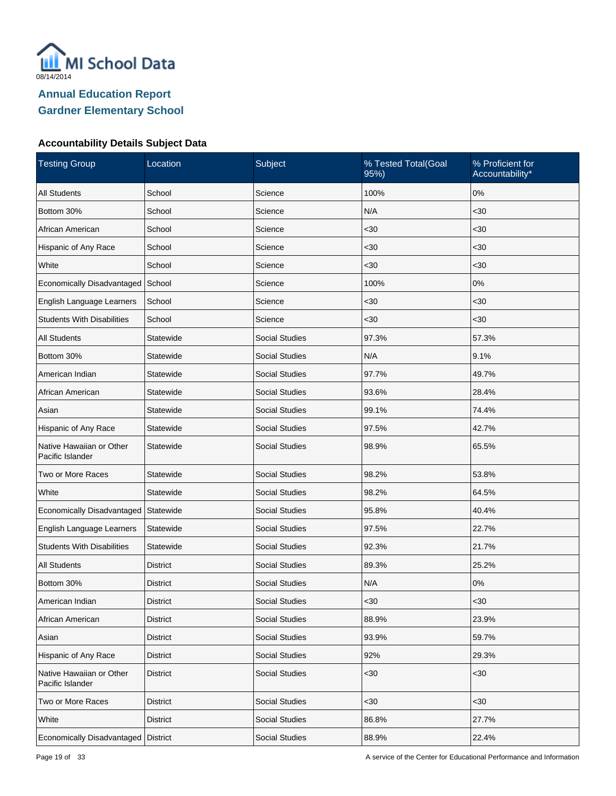

| <b>Testing Group</b>                         | Subject<br>% Tested Total(Goal<br>Location<br>95%) |                       | % Proficient for<br>Accountability* |       |
|----------------------------------------------|----------------------------------------------------|-----------------------|-------------------------------------|-------|
| <b>All Students</b>                          | School                                             | Science               | 100%                                | 0%    |
| Bottom 30%                                   | School                                             | Science               | N/A                                 | $30$  |
| African American                             | School                                             | Science               | $30$                                | <30   |
| Hispanic of Any Race                         | School                                             | Science               | $30$                                | $30$  |
| White                                        | School                                             | Science               | $30$                                | <30   |
| Economically Disadvantaged                   | School                                             | Science               | 100%                                | $0\%$ |
| English Language Learners                    | School                                             | Science               | $30$                                | $30$  |
| <b>Students With Disabilities</b>            | School                                             | Science               | $30$                                | $30$  |
| <b>All Students</b>                          | Statewide                                          | <b>Social Studies</b> | 97.3%                               | 57.3% |
| Bottom 30%                                   | Statewide                                          | <b>Social Studies</b> | N/A                                 | 9.1%  |
| American Indian                              | Statewide                                          | <b>Social Studies</b> | 97.7%                               | 49.7% |
| African American                             | Statewide                                          | <b>Social Studies</b> | 93.6%                               | 28.4% |
| Asian                                        | Statewide                                          | <b>Social Studies</b> | 99.1%                               | 74.4% |
| Hispanic of Any Race                         | Statewide                                          | <b>Social Studies</b> | 97.5%                               | 42.7% |
| Native Hawaiian or Other<br>Pacific Islander | Statewide<br><b>Social Studies</b><br>98.9%        |                       |                                     | 65.5% |
| Two or More Races                            | Statewide                                          | <b>Social Studies</b> | 98.2%                               | 53.8% |
| White                                        | Statewide                                          | <b>Social Studies</b> | 98.2%                               | 64.5% |
| Economically Disadvantaged                   | Statewide                                          | <b>Social Studies</b> | 95.8%                               | 40.4% |
| English Language Learners                    | Statewide                                          | <b>Social Studies</b> | 97.5%                               | 22.7% |
| <b>Students With Disabilities</b>            | Statewide                                          | <b>Social Studies</b> | 92.3%                               | 21.7% |
| <b>All Students</b>                          | <b>District</b>                                    | <b>Social Studies</b> | 89.3%                               | 25.2% |
| Bottom 30%                                   | District                                           | <b>Social Studies</b> | N/A                                 | 0%    |
| American Indian                              | <b>District</b>                                    | <b>Social Studies</b> | <30                                 | $30$  |
| African American                             | <b>District</b>                                    | <b>Social Studies</b> | 88.9%                               | 23.9% |
| Asian                                        | <b>District</b>                                    | <b>Social Studies</b> | 93.9%                               | 59.7% |
| Hispanic of Any Race                         | <b>District</b>                                    | <b>Social Studies</b> | 92%                                 | 29.3% |
| Native Hawaiian or Other<br>Pacific Islander | <b>District</b>                                    | <b>Social Studies</b> | $30$                                | $30$  |
| Two or More Races                            | <b>District</b>                                    | Social Studies        | $30$                                | <30   |
| White                                        | <b>District</b>                                    | Social Studies        | 86.8%                               | 27.7% |
| Economically Disadvantaged                   | District                                           | Social Studies        | 88.9%                               | 22.4% |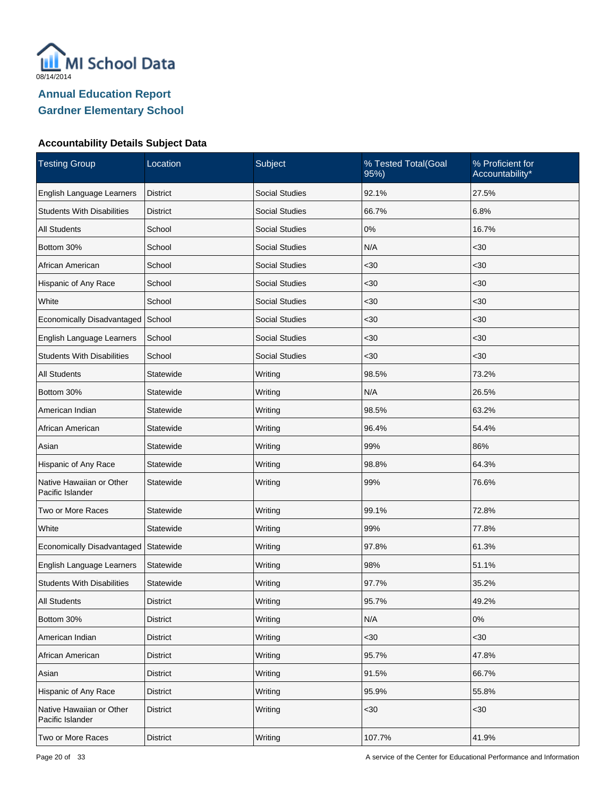

| <b>Testing Group</b>                         | Subject<br>% Tested Total(Goal<br>Location<br>95%) |                       | % Proficient for<br>Accountability* |       |
|----------------------------------------------|----------------------------------------------------|-----------------------|-------------------------------------|-------|
| English Language Learners                    | <b>District</b>                                    | <b>Social Studies</b> | 92.1%                               | 27.5% |
| <b>Students With Disabilities</b>            | District                                           | <b>Social Studies</b> | 66.7%                               | 6.8%  |
| <b>All Students</b>                          | School                                             | <b>Social Studies</b> | 0%                                  | 16.7% |
| Bottom 30%                                   | School                                             | <b>Social Studies</b> | N/A                                 | $30$  |
| African American                             | School                                             | <b>Social Studies</b> | $30$                                | $30$  |
| Hispanic of Any Race                         | School                                             | <b>Social Studies</b> | $30$                                | $30$  |
| White                                        | School                                             | <b>Social Studies</b> | $30$                                | $30$  |
| Economically Disadvantaged                   | School                                             | <b>Social Studies</b> | $30$                                | $30$  |
| English Language Learners                    | School                                             | <b>Social Studies</b> | $30$                                | $30$  |
| <b>Students With Disabilities</b>            | School                                             | <b>Social Studies</b> | $30$                                | $30$  |
| <b>All Students</b>                          | Statewide                                          | Writing               | 98.5%                               | 73.2% |
| Bottom 30%                                   | Statewide                                          | Writing               | N/A                                 | 26.5% |
| American Indian                              | Statewide                                          | Writing               | 98.5%                               | 63.2% |
| African American                             | Statewide                                          | Writing               | 96.4%                               | 54.4% |
| Asian                                        | Statewide                                          | Writing               | 99%                                 | 86%   |
| Hispanic of Any Race                         | Statewide                                          | Writing               | 98.8%                               | 64.3% |
| Native Hawaiian or Other<br>Pacific Islander | Statewide                                          | Writing               | 99%                                 | 76.6% |
| Two or More Races                            | Statewide                                          | Writing               | 99.1%                               | 72.8% |
| White                                        | Statewide                                          | Writing               | 99%                                 | 77.8% |
| Economically Disadvantaged Statewide         |                                                    | Writing               | 97.8%                               | 61.3% |
| English Language Learners                    | Statewide                                          | Writing               | 98%                                 | 51.1% |
| <b>Students With Disabilities</b>            | Statewide                                          | Writing               | 97.7%                               | 35.2% |
| <b>All Students</b>                          | <b>District</b>                                    | Writing               | 95.7%                               | 49.2% |
| Bottom 30%                                   | <b>District</b>                                    | Writing               | N/A                                 | $0\%$ |
| American Indian                              | <b>District</b>                                    | Writing               | $30$                                | $30$  |
| African American                             | <b>District</b>                                    | Writing               | 95.7%                               | 47.8% |
| Asian                                        | <b>District</b>                                    | Writing               | 91.5%                               | 66.7% |
| Hispanic of Any Race                         | <b>District</b>                                    | Writing               | 95.9%                               | 55.8% |
| Native Hawaiian or Other<br>Pacific Islander | <b>District</b>                                    | Writing               | $30$                                | $<30$ |
| Two or More Races                            | District                                           | Writing               | 107.7%                              | 41.9% |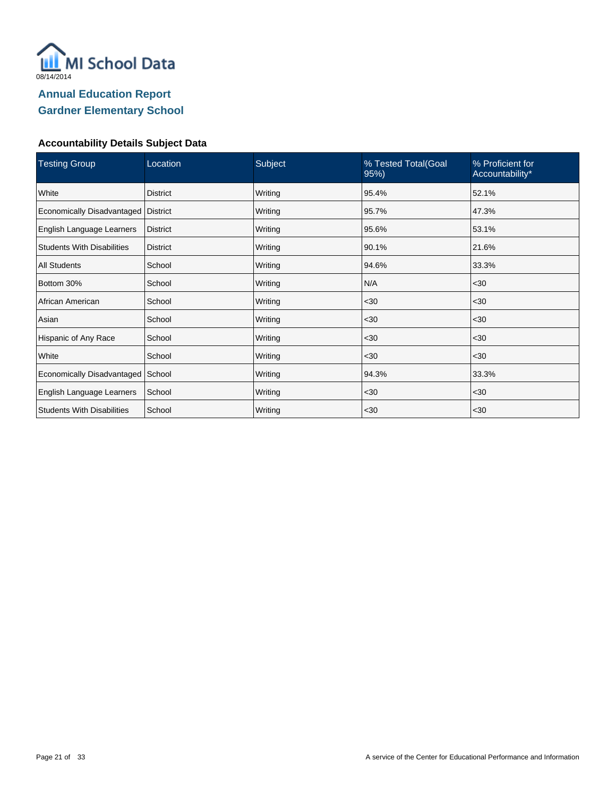

| <b>Testing Group</b>              | Subject<br>Location<br>% Tested Total(Goal<br>95%) |         | % Proficient for<br>Accountability* |       |
|-----------------------------------|----------------------------------------------------|---------|-------------------------------------|-------|
| White                             | <b>District</b>                                    | Writing | 95.4%                               | 52.1% |
| Economically Disadvantaged        | <b>District</b>                                    | Writing | 95.7%                               | 47.3% |
| English Language Learners         | <b>District</b>                                    | Writing | 95.6%                               | 53.1% |
| <b>Students With Disabilities</b> | <b>District</b>                                    | Writing | 90.1%                               | 21.6% |
| <b>All Students</b>               | School                                             | Writing | 94.6%                               | 33.3% |
| Bottom 30%                        | School                                             | Writing | N/A                                 | $30$  |
| African American                  | School                                             | Writing | $30$                                | $30$  |
| Asian                             | School                                             | Writing | $30$                                | $30$  |
| Hispanic of Any Race              | School                                             | Writing | $30$                                | $30$  |
| White                             | School                                             | Writing | $30$                                | $30$  |
| Economically Disadvantaged        | School                                             | Writing | 94.3%                               | 33.3% |
| English Language Learners         | School                                             | Writing | $30$                                | $30$  |
| <b>Students With Disabilities</b> | School                                             | Writing | $30$                                | $30$  |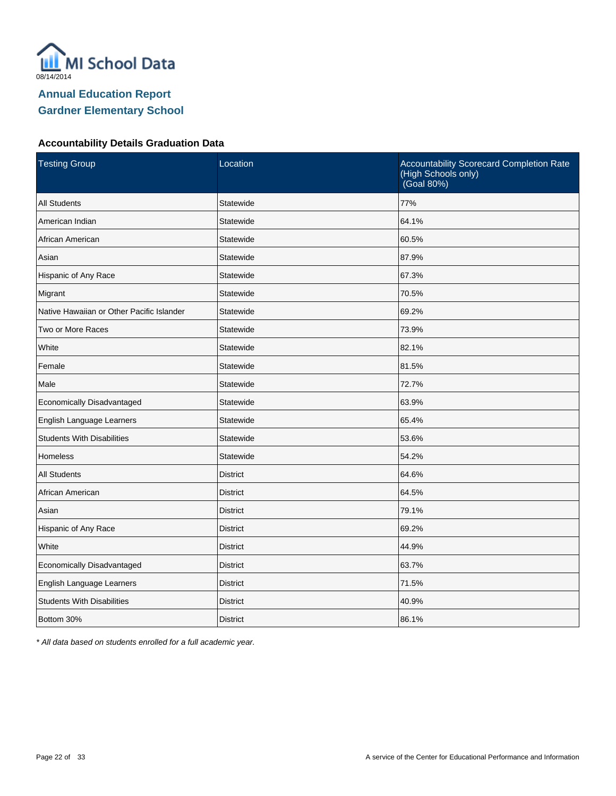

## **Accountability Details Graduation Data**

| <b>Testing Group</b>                      | Location        | Accountability Scorecard Completion Rate<br>(High Schools only)<br>(Goal 80%) |
|-------------------------------------------|-----------------|-------------------------------------------------------------------------------|
| <b>All Students</b>                       | Statewide       | 77%                                                                           |
| American Indian                           | Statewide       | 64.1%                                                                         |
| African American                          | Statewide       | 60.5%                                                                         |
| Asian                                     | Statewide       | 87.9%                                                                         |
| Hispanic of Any Race                      | Statewide       | 67.3%                                                                         |
| Migrant                                   | Statewide       | 70.5%                                                                         |
| Native Hawaiian or Other Pacific Islander | Statewide       | 69.2%                                                                         |
| Two or More Races                         | Statewide       | 73.9%                                                                         |
| White                                     | Statewide       | 82.1%                                                                         |
| Female                                    | Statewide       | 81.5%                                                                         |
| Male                                      | Statewide       | 72.7%                                                                         |
| Economically Disadvantaged                | Statewide       | 63.9%                                                                         |
| English Language Learners                 | Statewide       | 65.4%                                                                         |
| <b>Students With Disabilities</b>         | Statewide       | 53.6%                                                                         |
| <b>Homeless</b>                           | Statewide       | 54.2%                                                                         |
| <b>All Students</b>                       | <b>District</b> | 64.6%                                                                         |
| African American                          | <b>District</b> | 64.5%                                                                         |
| Asian                                     | <b>District</b> | 79.1%                                                                         |
| Hispanic of Any Race                      | <b>District</b> | 69.2%                                                                         |
| White                                     | <b>District</b> | 44.9%                                                                         |
| Economically Disadvantaged                | <b>District</b> | 63.7%                                                                         |
| English Language Learners                 | <b>District</b> | 71.5%                                                                         |
| <b>Students With Disabilities</b>         | <b>District</b> | 40.9%                                                                         |
| Bottom 30%                                | <b>District</b> | 86.1%                                                                         |

\* All data based on students enrolled for a full academic year.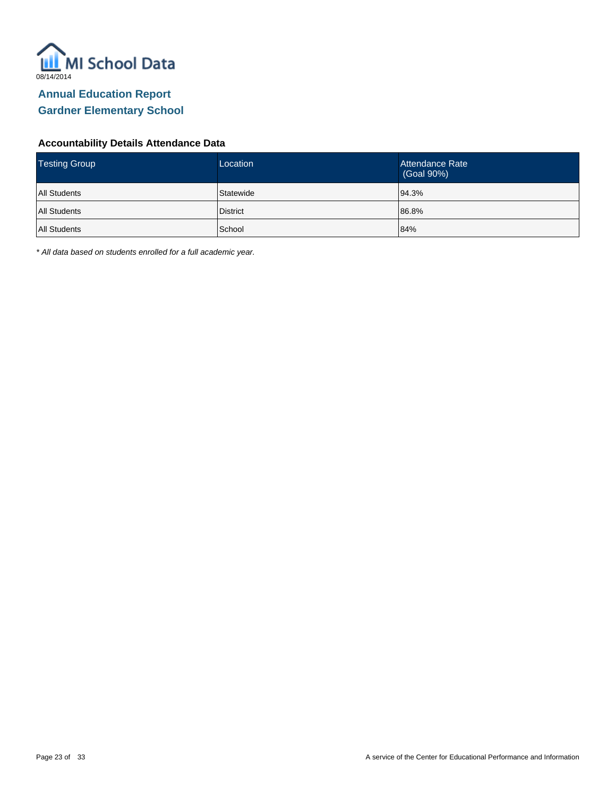

#### **Accountability Details Attendance Data**

| <b>Testing Group</b> | Location        | Attendance Rate<br>(Goal 90%) |
|----------------------|-----------------|-------------------------------|
| <b>All Students</b>  | Statewide       | 94.3%                         |
| All Students         | <b>District</b> | 86.8%                         |
| All Students         | School          | 84%                           |

\* All data based on students enrolled for a full academic year.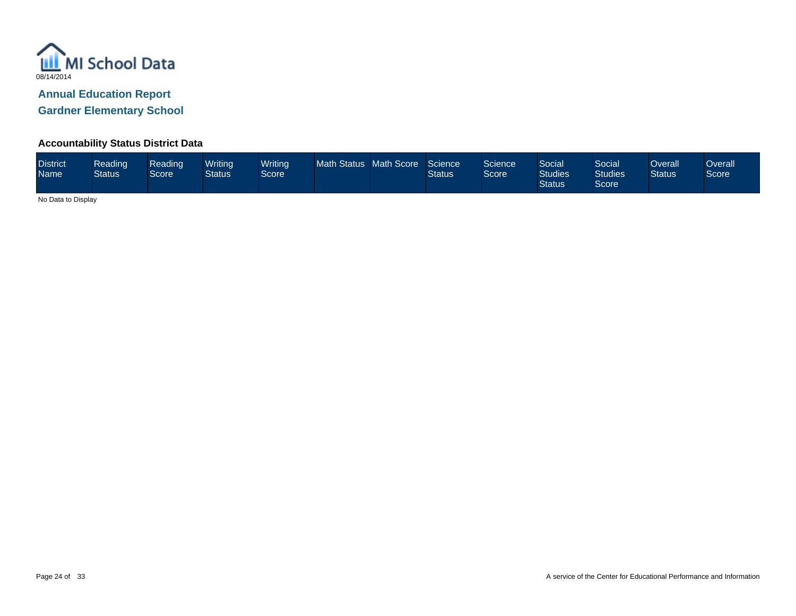

**Accountability Status District Data**

| <b>District</b><br>Name | Reading<br><b>Status</b> | Reading<br>Score | Writing<br><b>Status</b> | <b>Writing</b><br>Score |  | Math Status Math Score | Science<br><b>Status</b> | <b>Science</b><br>Score | Social<br><b>Studies</b><br><b>Status</b> | Social<br>Studies<br>Score | <b>Overall</b><br><b>Status</b> | <b>Dverall</b><br>Score |
|-------------------------|--------------------------|------------------|--------------------------|-------------------------|--|------------------------|--------------------------|-------------------------|-------------------------------------------|----------------------------|---------------------------------|-------------------------|
|-------------------------|--------------------------|------------------|--------------------------|-------------------------|--|------------------------|--------------------------|-------------------------|-------------------------------------------|----------------------------|---------------------------------|-------------------------|

No Data to Display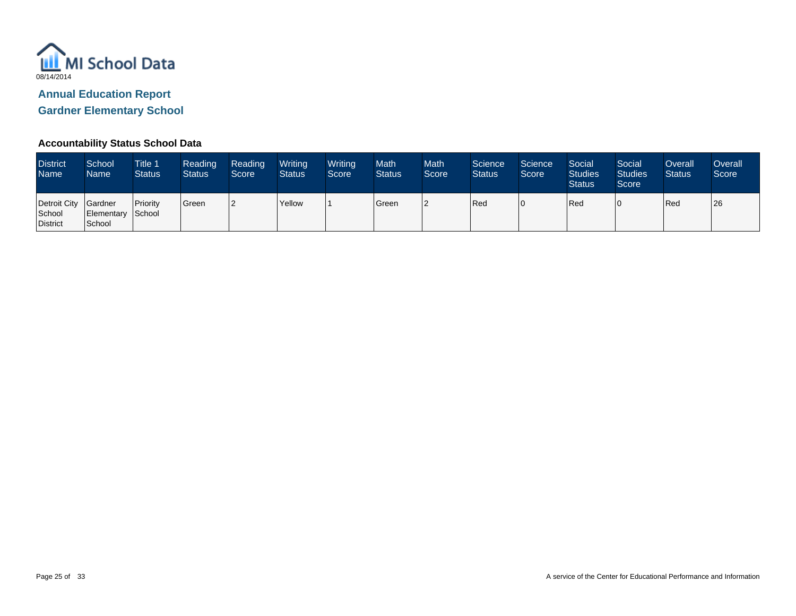

# **Annual Education Report**

**Gardner Elementary School**

## **Accountability Status School Data**

| <b>District</b><br><b>Name</b>                    | School<br>Name <sup>1</sup> | <b>Title 1</b><br><b>Status</b> | Reading<br><b>Status</b> | Reading<br>Score | Writing<br><b>Status</b> | Writing<br>Score | Math<br><b>Status</b> | <b>Math</b><br>Score | Science<br><b>Status</b> | Science<br>Score <sup>1</sup> | Social<br><b>Studies</b><br><b>Status</b> | Social<br><b>Studies</b><br>Score | Overall<br><b>Status</b> | Overall<br>Score |
|---------------------------------------------------|-----------------------------|---------------------------------|--------------------------|------------------|--------------------------|------------------|-----------------------|----------------------|--------------------------|-------------------------------|-------------------------------------------|-----------------------------------|--------------------------|------------------|
| Detroit City Gardner<br>School<br><b>District</b> | Elementary School<br>School | Priority                        | <b>Green</b>             | l2               | Yellow                   |                  | Green                 | 2                    | Red                      |                               | Red                                       | 0                                 | Red                      | 26               |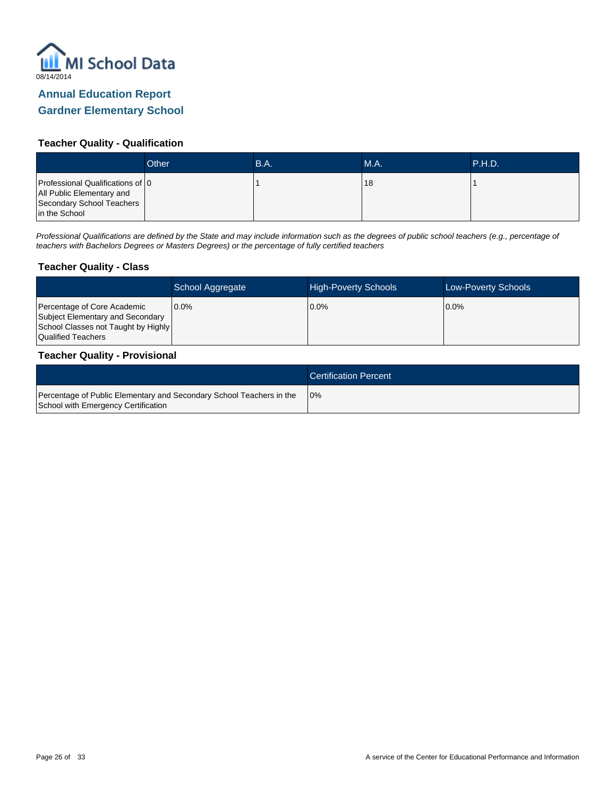

## **Teacher Quality - Qualification**

|                                                                                                             | Other | B.A. | <b>M.A.</b> | .P.H.D. |
|-------------------------------------------------------------------------------------------------------------|-------|------|-------------|---------|
| Professional Qualifications of 0<br>All Public Elementary and<br>Secondary School Teachers<br>in the School |       |      | 18          |         |

Professional Qualifications are defined by the State and may include information such as the degrees of public school teachers (e.g., percentage of teachers with Bachelors Degrees or Masters Degrees) or the percentage of fully certified teachers

#### **Teacher Quality - Class**

|                                                                                                                              | School Aggregate | <b>High-Poverty Schools</b> | <b>Low-Poverty Schools</b> |
|------------------------------------------------------------------------------------------------------------------------------|------------------|-----------------------------|----------------------------|
| Percentage of Core Academic<br>Subject Elementary and Secondary<br>School Classes not Taught by Highly<br>Qualified Teachers | $0.0\%$          | $0.0\%$                     | $10.0\%$                   |

#### **Teacher Quality - Provisional**

|                                                                                                             | <b>Certification Percent</b> |
|-------------------------------------------------------------------------------------------------------------|------------------------------|
| Percentage of Public Elementary and Secondary School Teachers in the<br>School with Emergency Certification | 10%                          |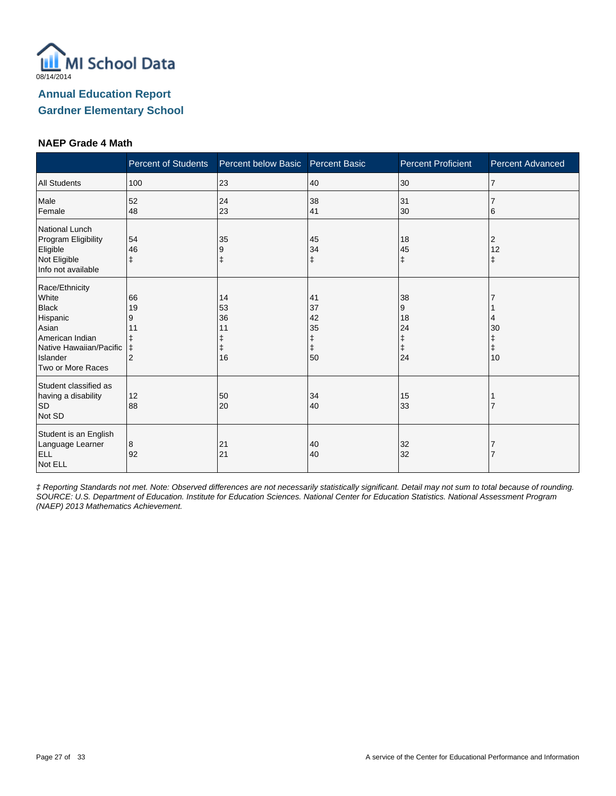

#### **NAEP Grade 4 Math**

|                                                                                                                                             | <b>Percent of Students</b>                               | Percent below Basic        | <b>Percent Basic</b>                 | <b>Percent Proficient</b>                    | <b>Percent Advanced</b> |
|---------------------------------------------------------------------------------------------------------------------------------------------|----------------------------------------------------------|----------------------------|--------------------------------------|----------------------------------------------|-------------------------|
| <b>All Students</b>                                                                                                                         | 100                                                      | 23                         | 40                                   | 30                                           | $\overline{7}$          |
| Male<br>Female                                                                                                                              | 52<br>48                                                 | 24<br>23                   | 38<br>41                             | 31<br>30                                     | 6                       |
| National Lunch<br>Program Eligibility<br>Eligible<br>Not Eligible<br>Info not available                                                     | 54<br>46<br>$\ddagger$                                   | 35<br>9<br>ŧ               | 45<br>34<br>ŧ                        | 18<br>45<br>$\ddagger$                       | 2<br>12<br>ŧ            |
| Race/Ethnicity<br>White<br><b>Black</b><br>Hispanic<br>Asian<br>American Indian<br>Native Hawaiian/Pacific<br>Islander<br>Two or More Races | 66<br>19<br>9<br>11<br>ŧ<br>$\ddagger$<br>$\overline{2}$ | 14<br>53<br>36<br>11<br>16 | 41<br>37<br>42<br>35<br>ŧ<br>ŧ<br>50 | 38<br>9<br>18<br>24<br>ŧ<br>$\ddagger$<br>24 | 4<br>30<br>ŧ<br>ŧ<br>10 |
| Student classified as<br>having a disability<br><b>SD</b><br>Not SD                                                                         | 12<br>88                                                 | 50<br>20                   | 34<br>40                             | 15<br>33                                     |                         |
| Student is an English<br>Language Learner<br><b>ELL</b><br>Not ELL                                                                          | 8<br>92                                                  | 21<br>21                   | 40<br>40                             | 32<br>32                                     |                         |

‡ Reporting Standards not met. Note: Observed differences are not necessarily statistically significant. Detail may not sum to total because of rounding. SOURCE: U.S. Department of Education. Institute for Education Sciences. National Center for Education Statistics. National Assessment Program (NAEP) 2013 Mathematics Achievement.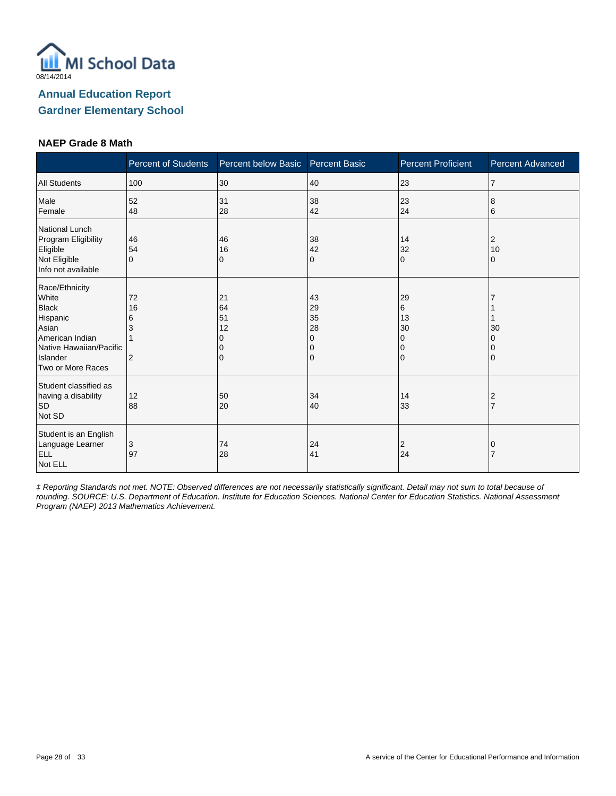

#### **NAEP Grade 8 Math**

|                                                                                                                                             | <b>Percent of Students</b>           | Percent below Basic            | <b>Percent Basic</b>                | <b>Percent Proficient</b>                    | <b>Percent Advanced</b> |
|---------------------------------------------------------------------------------------------------------------------------------------------|--------------------------------------|--------------------------------|-------------------------------------|----------------------------------------------|-------------------------|
| <b>All Students</b>                                                                                                                         | 100                                  | 30                             | 40                                  | 23                                           | $\overline{7}$          |
| Male<br>Female                                                                                                                              | 52<br>48                             | 31<br>28                       | 38<br>42                            | 23<br>24                                     | 8<br>6                  |
| National Lunch<br>Program Eligibility<br>Eligible<br>Not Eligible<br>Info not available                                                     | 46<br>54<br>$\Omega$                 | 46<br>16<br>0                  | 38<br>42<br>0                       | 14<br>32<br>$\Omega$                         | 2<br>10<br>0            |
| Race/Ethnicity<br>White<br><b>Black</b><br>Hispanic<br>Asian<br>American Indian<br>Native Hawaiian/Pacific<br>Islander<br>Two or More Races | 72<br>16<br>6<br>3<br>$\overline{2}$ | 21<br>64<br>51<br>12<br>O<br>0 | 43<br>29<br>35<br>28<br>0<br>0<br>0 | 29<br>6<br>13<br>30<br>0<br>0<br>$\mathbf 0$ | 30                      |
| Student classified as<br>having a disability<br><b>SD</b><br>Not SD                                                                         | 12<br>88                             | 50<br>20                       | 34<br>40                            | 14<br>33                                     | 2<br>$\overline{7}$     |
| Student is an English<br>Language Learner<br><b>ELL</b><br>Not ELL                                                                          | 3<br>97                              | 74<br>28                       | 24<br>41                            | $\overline{2}$<br>24                         | 0                       |

‡ Reporting Standards not met. NOTE: Observed differences are not necessarily statistically significant. Detail may not sum to total because of rounding. SOURCE: U.S. Department of Education. Institute for Education Sciences. National Center for Education Statistics. National Assessment Program (NAEP) 2013 Mathematics Achievement.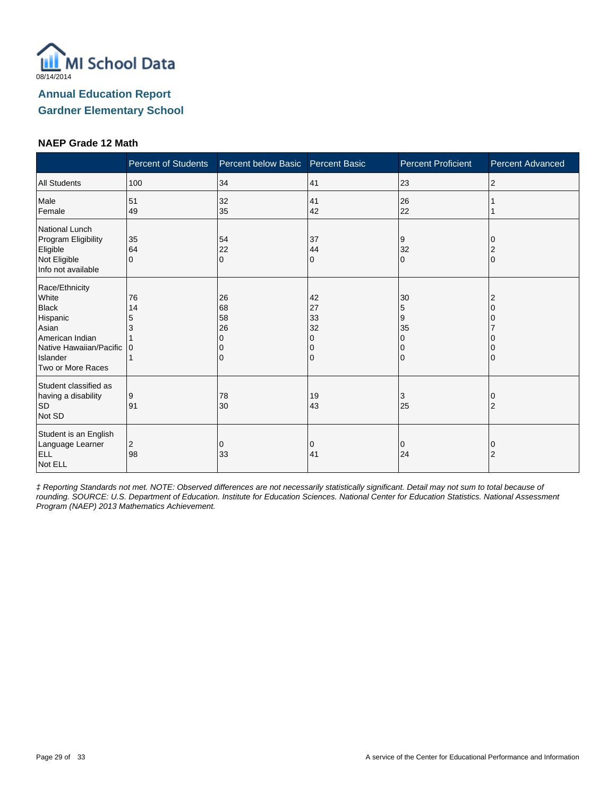

#### **NAEP Grade 12 Math**

|                                                                                                                                             | <b>Percent of Students</b> | Percent below Basic  | <b>Percent Basic</b>                | <b>Percent Proficient</b> | <b>Percent Advanced</b> |
|---------------------------------------------------------------------------------------------------------------------------------------------|----------------------------|----------------------|-------------------------------------|---------------------------|-------------------------|
| <b>All Students</b>                                                                                                                         | 100                        | 34                   | 41                                  | 23                        | 2                       |
| Male<br>Female                                                                                                                              | 51<br>49                   | 32<br>35             | 41<br>42                            | 26<br>22                  |                         |
| National Lunch<br>Program Eligibility<br>Eligible<br>Not Eligible<br>Info not available                                                     | 35<br>64<br>$\mathbf 0$    | 54<br>22<br>$\Omega$ | 37<br>44<br>0                       | 9<br>32<br>$\Omega$       | $\Omega$                |
| Race/Ethnicity<br>White<br><b>Black</b><br>Hispanic<br>Asian<br>American Indian<br>Native Hawaiian/Pacific<br>Islander<br>Two or More Races | 76<br>14<br>5<br>3<br>l 0  | 26<br>68<br>58<br>26 | 42<br>27<br>33<br>32<br>O<br>0<br>0 | 30<br>5<br>9<br>35<br>0   |                         |
| Student classified as<br>having a disability<br><b>SD</b><br>Not SD                                                                         | 9<br>91                    | 78<br>30             | 19<br>43                            | 3<br>25                   | 2                       |
| Student is an English<br>Language Learner<br><b>ELL</b><br>Not ELL                                                                          | 2<br>98                    | 0<br>33              | 0<br>41                             | 0<br>24                   | O<br>2                  |

‡ Reporting Standards not met. NOTE: Observed differences are not necessarily statistically significant. Detail may not sum to total because of rounding. SOURCE: U.S. Department of Education. Institute for Education Sciences. National Center for Education Statistics. National Assessment Program (NAEP) 2013 Mathematics Achievement.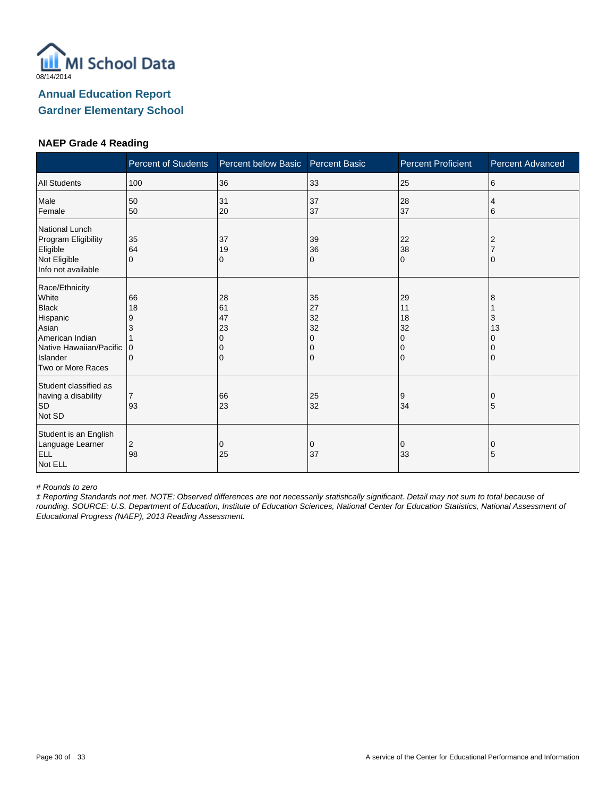

#### **NAEP Grade 4 Reading**

|                                                                                                                                             | <b>Percent of Students</b>                    | Percent below Basic            | <b>Percent Basic</b>                | <b>Percent Proficient</b>                            | <b>Percent Advanced</b> |
|---------------------------------------------------------------------------------------------------------------------------------------------|-----------------------------------------------|--------------------------------|-------------------------------------|------------------------------------------------------|-------------------------|
| <b>All Students</b>                                                                                                                         | 100                                           | 36                             | 33                                  | 25                                                   | 6                       |
| Male<br>Female                                                                                                                              | 50<br>50                                      | 31<br>20                       | 37<br>37                            | 28<br>37                                             | 4<br>6                  |
| National Lunch<br>Program Eligibility<br>Eligible<br>Not Eligible<br>Info not available                                                     | 35<br>64<br>$\Omega$                          | 37<br>19<br>0                  | 39<br>36<br>0                       | 22<br>38<br>$\Omega$                                 |                         |
| Race/Ethnicity<br>White<br><b>Black</b><br>Hispanic<br>Asian<br>American Indian<br>Native Hawaiian/Pacific<br>Islander<br>Two or More Races | 66<br>18<br>9<br>3<br>$\Omega$<br>$\mathbf 0$ | 28<br>61<br>47<br>23<br>O<br>0 | 35<br>27<br>32<br>32<br>0<br>0<br>0 | 29<br>11<br>18<br>32<br>0<br>$\Omega$<br>$\mathbf 0$ | 8<br>3<br>13            |
| Student classified as<br>having a disability<br><b>SD</b><br>Not SD                                                                         | $\overline{7}$<br>93                          | 66<br>23                       | 25<br>32                            | 9<br>34                                              | 5                       |
| Student is an English<br>Language Learner<br><b>ELL</b><br>Not ELL                                                                          | 2<br>98                                       | 0<br>25                        | 0<br>37                             | 0<br>33                                              | 0<br>5                  |

# Rounds to zero

‡ Reporting Standards not met. NOTE: Observed differences are not necessarily statistically significant. Detail may not sum to total because of rounding. SOURCE: U.S. Department of Education, Institute of Education Sciences, National Center for Education Statistics, National Assessment of Educational Progress (NAEP), 2013 Reading Assessment.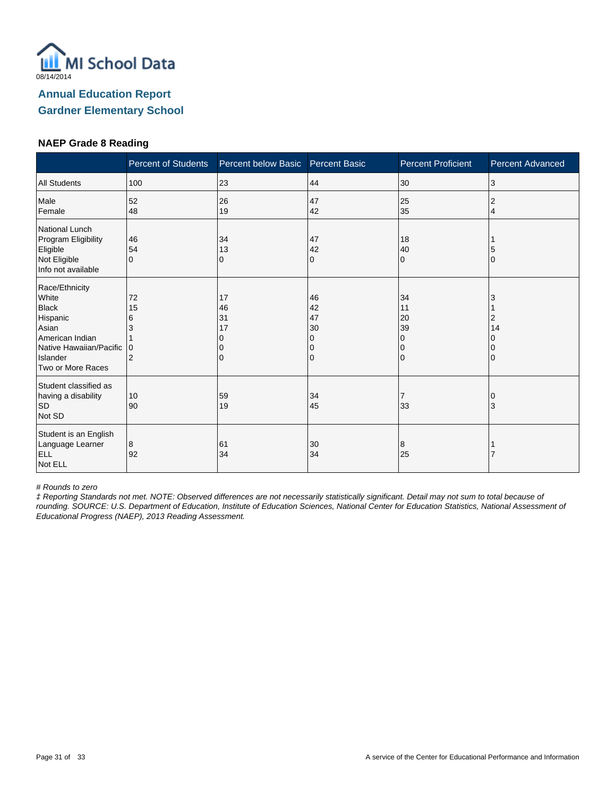

#### **NAEP Grade 8 Reading**

|                                                                                                                                             | <b>Percent of Students</b>                       | Percent below Basic            | <b>Percent Basic</b>                | <b>Percent Proficient</b>                            | <b>Percent Advanced</b> |
|---------------------------------------------------------------------------------------------------------------------------------------------|--------------------------------------------------|--------------------------------|-------------------------------------|------------------------------------------------------|-------------------------|
| <b>All Students</b>                                                                                                                         | 100                                              | 23                             | 44                                  | 30                                                   | 3                       |
| Male<br>Female                                                                                                                              | 52<br>48                                         | 26<br>19                       | 47<br>42                            | 25<br>35                                             | 2<br>4                  |
| National Lunch<br>Program Eligibility<br>Eligible<br>Not Eligible<br>Info not available                                                     | 46<br>54<br>$\Omega$                             | 34<br>13<br>0                  | 47<br>42<br>0                       | 18<br>40<br>$\mathbf 0$                              |                         |
| Race/Ethnicity<br>White<br><b>Black</b><br>Hispanic<br>Asian<br>American Indian<br>Native Hawaiian/Pacific<br>Islander<br>Two or More Races | 72<br>15<br>6<br>3<br>$\Omega$<br>$\overline{2}$ | 17<br>46<br>31<br>17<br>O<br>0 | 46<br>42<br>47<br>30<br>0<br>0<br>0 | 34<br>11<br>20<br>39<br>0<br>$\Omega$<br>$\mathbf 0$ | 3<br>2<br>14            |
| Student classified as<br>having a disability<br><b>SD</b><br>Not SD                                                                         | 10<br>90                                         | 59<br>19                       | 34<br>45                            | 7<br>33                                              | 3                       |
| Student is an English<br>Language Learner<br><b>ELL</b><br>Not ELL                                                                          | 8<br>92                                          | 61<br>34                       | 30<br>34                            | 8<br>25                                              |                         |

# Rounds to zero

‡ Reporting Standards not met. NOTE: Observed differences are not necessarily statistically significant. Detail may not sum to total because of rounding. SOURCE: U.S. Department of Education, Institute of Education Sciences, National Center for Education Statistics, National Assessment of Educational Progress (NAEP), 2013 Reading Assessment.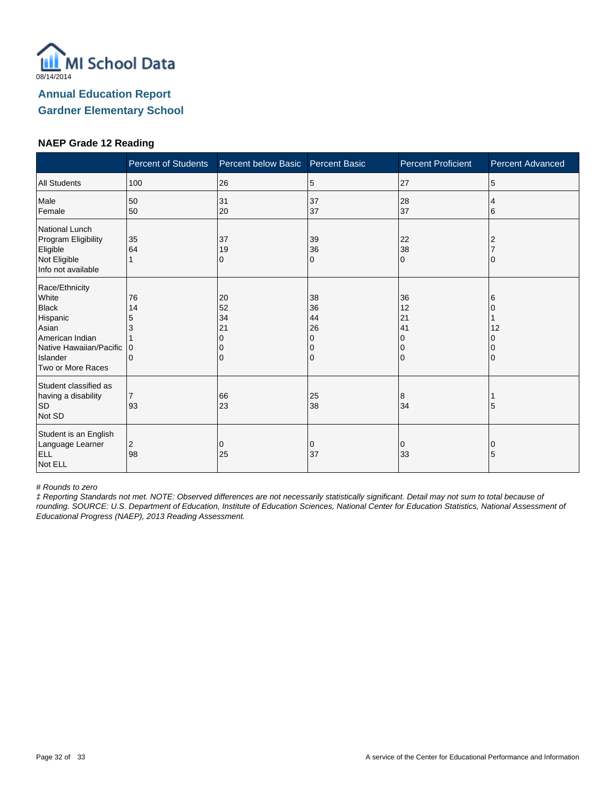

#### **NAEP Grade 12 Reading**

|                                                                                                                                             | <b>Percent of Students</b>   | Percent below Basic       | <b>Percent Basic</b>                | <b>Percent Proficient</b>                  | <b>Percent Advanced</b> |
|---------------------------------------------------------------------------------------------------------------------------------------------|------------------------------|---------------------------|-------------------------------------|--------------------------------------------|-------------------------|
| <b>All Students</b>                                                                                                                         | 100                          | 26                        | 5                                   | 27                                         | 5                       |
| Male<br>Female                                                                                                                              | 50<br>50                     | 31<br>20                  | 37<br>37                            | 28<br>37                                   | 4<br>6                  |
| National Lunch<br>Program Eligibility<br>Eligible<br>Not Eligible<br>Info not available                                                     | 35<br>64                     | 37<br>19<br>0             | 39<br>36<br>0                       | 22<br>38<br>$\Omega$                       |                         |
| Race/Ethnicity<br>White<br><b>Black</b><br>Hispanic<br>Asian<br>American Indian<br>Native Hawaiian/Pacific<br>Islander<br>Two or More Races | 76<br>14<br>5<br>3<br>0<br>0 | 20<br>52<br>34<br>21<br>0 | 38<br>36<br>44<br>26<br>0<br>0<br>0 | 36<br>12<br>21<br>41<br>$\Omega$<br>0<br>0 | 6<br>12                 |
| Student classified as<br>having a disability<br><b>SD</b><br>Not SD                                                                         | $\overline{7}$<br>93         | 66<br>23                  | 25<br>38                            | 8<br>34                                    | 5                       |
| Student is an English<br>Language Learner<br>ELL<br>Not ELL                                                                                 | 2<br>98                      | 0<br>25                   | 0<br>37                             | 0<br>33                                    | 0<br>5                  |

# Rounds to zero

‡ Reporting Standards not met. NOTE: Observed differences are not necessarily statistically significant. Detail may not sum to total because of rounding. SOURCE: U.S. Department of Education, Institute of Education Sciences, National Center for Education Statistics, National Assessment of Educational Progress (NAEP), 2013 Reading Assessment.